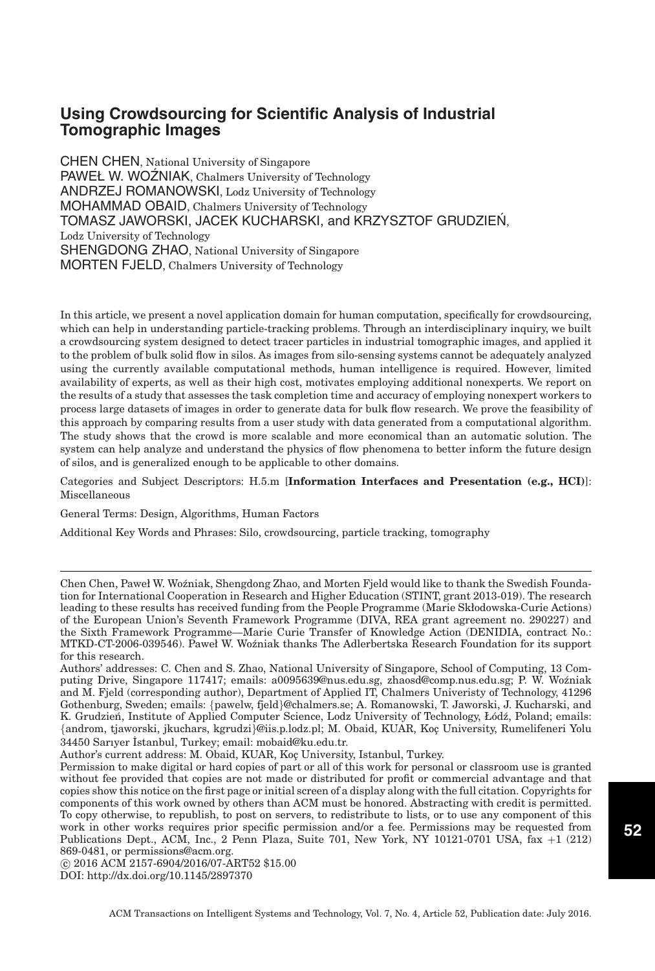CHEN CHEN, National University of Singapore PAWEŁ W. WOŹNIAK, Chalmers University of Technology ANDRZEJ ROMANOWSKI, Lodz University of Technology MOHAMMAD OBAID, Chalmers University of Technology TOMASZ JAWORSKI, JACEK KUCHARSKI, and KRZYSZTOF GRUDZIEŃ, Lodz University of Technology SHENGDONG ZHAO, National University of Singapore MORTEN FJELD, Chalmers University of Technology

In this article, we present a novel application domain for human computation, specifically for crowdsourcing, which can help in understanding particle-tracking problems. Through an interdisciplinary inquiry, we built a crowdsourcing system designed to detect tracer particles in industrial tomographic images, and applied it to the problem of bulk solid flow in silos. As images from silo-sensing systems cannot be adequately analyzed using the currently available computational methods, human intelligence is required. However, limited availability of experts, as well as their high cost, motivates employing additional nonexperts. We report on the results of a study that assesses the task completion time and accuracy of employing nonexpert workers to process large datasets of images in order to generate data for bulk flow research. We prove the feasibility of this approach by comparing results from a user study with data generated from a computational algorithm. The study shows that the crowd is more scalable and more economical than an automatic solution. The system can help analyze and understand the physics of flow phenomena to better inform the future design of silos, and is generalized enough to be applicable to other domains.

Categories and Subject Descriptors: H.5.m [**Information Interfaces and Presentation (e.g., HCI)**]: Miscellaneous

General Terms: Design, Algorithms, Human Factors

Additional Key Words and Phrases: Silo, crowdsourcing, particle tracking, tomography

Chen Chen, Paweł W. Wozniak, Shengdong Zhao, and Morten Fjeld would like to thank the Swedish Founda- ´ tion for International Cooperation in Research and Higher Education (STINT, grant 2013-019). The research leading to these results has received funding from the People Programme (Marie Skłodowska-Curie Actions) of the European Union's Seventh Framework Programme (DIVA, REA grant agreement no. 290227) and the Sixth Framework Programme—Marie Curie Transfer of Knowledge Action (DENIDIA, contract No.: MTKD-CT-2006-039546). Paweł W. Wozniak thanks The Adlerbertska Research Foundation for its support ´ for this research.

Authors' addresses: C. Chen and S. Zhao, National University of Singapore, School of Computing, 13 Computing Drive, Singapore 117417; emails: a0095639@nus.edu.sg, zhaosd@comp.nus.edu.sg; P. W. Wozniak ´ and M. Fjeld (corresponding author), Department of Applied IT, Chalmers Univeristy of Technology, 41296 Gothenburg, Sweden; emails: {pawelw, fjeld}@chalmers.se; A. Romanowski, T. Jaworski, J. Kucharski, and K. Grudzien, Institute of Applied Computer Science, Lodz University of Technology, Łódź, Poland; emails: {androm, tjaworski, jkuchars, kgrudzi}@iis.p.lodz.pl; M. Obaid, KUAR, Koc¸ University, Rumelifeneri Yolu 34450 Sarıyer ˙ Istanbul, Turkey; email: mobaid@ku.edu.tr.

Author's current address: M. Obaid, KUAR, Koç University, Istanbul, Turkey.

Permission to make digital or hard copies of part or all of this work for personal or classroom use is granted without fee provided that copies are not made or distributed for profit or commercial advantage and that copies show this notice on the first page or initial screen of a display along with the full citation. Copyrights for components of this work owned by others than ACM must be honored. Abstracting with credit is permitted. To copy otherwise, to republish, to post on servers, to redistribute to lists, or to use any component of this work in other works requires prior specific permission and/or a fee. Permissions may be requested from Publications Dept., ACM, Inc., 2 Penn Plaza, Suite 701, New York, NY 10121-0701 USA, fax +1 (212) 869-0481, or permissions@acm.org.

-c 2016 ACM 2157-6904/2016/07-ART52 \$15.00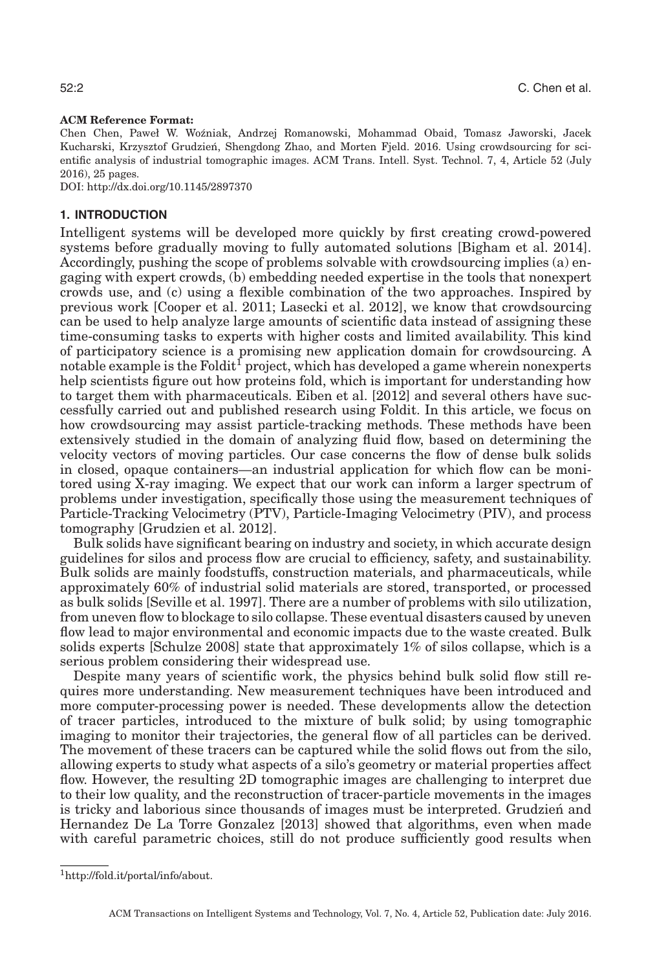#### **ACM Reference Format:**

Chen Chen, Paweł W. Wozniak, Andrzej Romanowski, Mohammad Obaid, Tomasz Jaworski, Jacek ´ Kucharski, Krzysztof Grudzien, Shengdong Zhao, and Morten Fjeld. 2016. Using crowdsourcing for sci- ´ entific analysis of industrial tomographic images. ACM Trans. Intell. Syst. Technol. 7, 4, Article 52 (July 2016), 25 pages.

DOI:<http://dx.doi.org/10.1145/2897370>

### **1. INTRODUCTION**

Intelligent systems will be developed more quickly by first creating crowd-powered systems before gradually moving to fully automated solutions [Bigham et al. [2014\]](#page-23-0). Accordingly, pushing the scope of problems solvable with crowdsourcing implies (a) engaging with expert crowds, (b) embedding needed expertise in the tools that nonexpert crowds use, and (c) using a flexible combination of the two approaches. Inspired by previous work [Cooper et al. [2011;](#page-23-1) Lasecki et al. [2012\]](#page-24-0), we know that crowdsourcing can be used to help analyze large amounts of scientific data instead of assigning these time-consuming tasks to experts with higher costs and limited availability. This kind of participatory science is a promising new application domain for crowdsourcing. A notable example is the Foldit<sup>1</sup> project, which has developed a game wherein nonexperts help scientists figure out how proteins fold, which is important for understanding how to target them with pharmaceuticals. Eiben et al. [\[2012\]](#page-23-2) and several others have successfully carried out and published research using Foldit. In this article, we focus on how crowdsourcing may assist particle-tracking methods. These methods have been extensively studied in the domain of analyzing fluid flow, based on determining the velocity vectors of moving particles. Our case concerns the flow of dense bulk solids in closed, opaque containers—an industrial application for which flow can be monitored using X-ray imaging. We expect that our work can inform a larger spectrum of problems under investigation, specifically those using the measurement techniques of Particle-Tracking Velocimetry (PTV), Particle-Imaging Velocimetry (PIV), and process tomography [Grudzien et al. [2012\]](#page-23-3).

Bulk solids have significant bearing on industry and society, in which accurate design guidelines for silos and process flow are crucial to efficiency, safety, and sustainability. Bulk solids are mainly foodstuffs, construction materials, and pharmaceuticals, while approximately 60% of industrial solid materials are stored, transported, or processed as bulk solids [Seville et al. [1997\]](#page-24-1). There are a number of problems with silo utilization, from uneven flow to blockage to silo collapse. These eventual disasters caused by uneven flow lead to major environmental and economic impacts due to the waste created. Bulk solids experts [Schulze [2008\]](#page-24-2) state that approximately 1% of silos collapse, which is a serious problem considering their widespread use.

Despite many years of scientific work, the physics behind bulk solid flow still requires more understanding. New measurement techniques have been introduced and more computer-processing power is needed. These developments allow the detection of tracer particles, introduced to the mixture of bulk solid; by using tomographic imaging to monitor their trajectories, the general flow of all particles can be derived. The movement of these tracers can be captured while the solid flows out from the silo, allowing experts to study what aspects of a silo's geometry or material properties affect flow. However, the resulting 2D tomographic images are challenging to interpret due to their low quality, and the reconstruction of tracer-particle movements in the images is tricky and laborious since thousands of images must be interpreted. Grudzien and ´ Hernandez De La Torre Gonzalez [\[2013\]](#page-24-3) showed that algorithms, even when made with careful parametric choices, still do not produce sufficiently good results when

<span id="page-1-0"></span><sup>1</sup>http://fold.it/portal/info/about.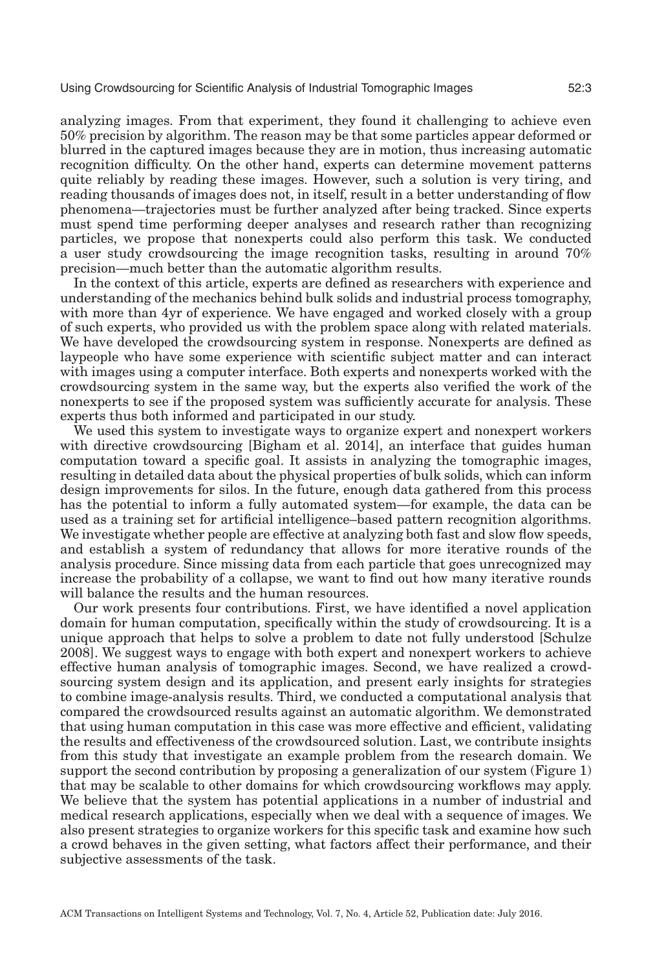analyzing images. From that experiment, they found it challenging to achieve even 50% precision by algorithm. The reason may be that some particles appear deformed or blurred in the captured images because they are in motion, thus increasing automatic recognition difficulty. On the other hand, experts can determine movement patterns quite reliably by reading these images. However, such a solution is very tiring, and reading thousands of images does not, in itself, result in a better understanding of flow phenomena—trajectories must be further analyzed after being tracked. Since experts must spend time performing deeper analyses and research rather than recognizing particles, we propose that nonexperts could also perform this task. We conducted a user study crowdsourcing the image recognition tasks, resulting in around 70% precision—much better than the automatic algorithm results.

In the context of this article, experts are defined as researchers with experience and understanding of the mechanics behind bulk solids and industrial process tomography, with more than 4yr of experience. We have engaged and worked closely with a group of such experts, who provided us with the problem space along with related materials. We have developed the crowdsourcing system in response. Nonexperts are defined as laypeople who have some experience with scientific subject matter and can interact with images using a computer interface. Both experts and nonexperts worked with the crowdsourcing system in the same way, but the experts also verified the work of the nonexperts to see if the proposed system was sufficiently accurate for analysis. These experts thus both informed and participated in our study.

We used this system to investigate ways to organize expert and nonexpert workers with directive crowdsourcing [Bigham et al. [2014\]](#page-23-0), an interface that guides human computation toward a specific goal. It assists in analyzing the tomographic images, resulting in detailed data about the physical properties of bulk solids, which can inform design improvements for silos. In the future, enough data gathered from this process has the potential to inform a fully automated system—for example, the data can be used as a training set for artificial intelligence–based pattern recognition algorithms. We investigate whether people are effective at analyzing both fast and slow flow speeds, and establish a system of redundancy that allows for more iterative rounds of the analysis procedure. Since missing data from each particle that goes unrecognized may increase the probability of a collapse, we want to find out how many iterative rounds will balance the results and the human resources.

Our work presents four contributions. First, we have identified a novel application domain for human computation, specifically within the study of crowdsourcing. It is a unique approach that helps to solve a problem to date not fully understood [Schulze [2008\]](#page-24-2). We suggest ways to engage with both expert and nonexpert workers to achieve effective human analysis of tomographic images. Second, we have realized a crowdsourcing system design and its application, and present early insights for strategies to combine image-analysis results. Third, we conducted a computational analysis that compared the crowdsourced results against an automatic algorithm. We demonstrated that using human computation in this case was more effective and efficient, validating the results and effectiveness of the crowdsourced solution. Last, we contribute insights from this study that investigate an example problem from the research domain. We support the second contribution by proposing a generalization of our system (Figure [1\)](#page-3-0) that may be scalable to other domains for which crowdsourcing workflows may apply. We believe that the system has potential applications in a number of industrial and medical research applications, especially when we deal with a sequence of images. We also present strategies to organize workers for this specific task and examine how such a crowd behaves in the given setting, what factors affect their performance, and their subjective assessments of the task.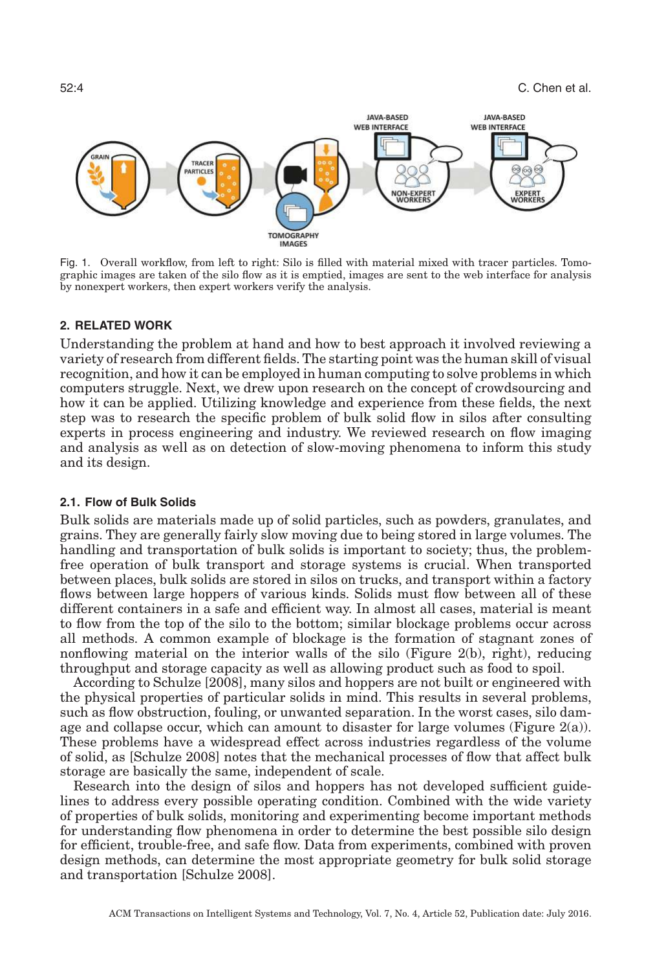<span id="page-3-0"></span>

Fig. 1. Overall workflow, from left to right: Silo is filled with material mixed with tracer particles. Tomographic images are taken of the silo flow as it is emptied, images are sent to the web interface for analysis by nonexpert workers, then expert workers verify the analysis.

# **2. RELATED WORK**

Understanding the problem at hand and how to best approach it involved reviewing a variety of research from different fields. The starting point was the human skill of visual recognition, and how it can be employed in human computing to solve problems in which computers struggle. Next, we drew upon research on the concept of crowdsourcing and how it can be applied. Utilizing knowledge and experience from these fields, the next step was to research the specific problem of bulk solid flow in silos after consulting experts in process engineering and industry. We reviewed research on flow imaging and analysis as well as on detection of slow-moving phenomena to inform this study and its design.

#### **2.1. Flow of Bulk Solids**

Bulk solids are materials made up of solid particles, such as powders, granulates, and grains. They are generally fairly slow moving due to being stored in large volumes. The handling and transportation of bulk solids is important to society; thus, the problemfree operation of bulk transport and storage systems is crucial. When transported between places, bulk solids are stored in silos on trucks, and transport within a factory flows between large hoppers of various kinds. Solids must flow between all of these different containers in a safe and efficient way. In almost all cases, material is meant to flow from the top of the silo to the bottom; similar blockage problems occur across all methods. A common example of blockage is the formation of stagnant zones of nonflowing material on the interior walls of the silo (Figure [2\(](#page-4-0)b), right), reducing throughput and storage capacity as well as allowing product such as food to spoil.

According to Schulze [\[2008\]](#page-24-2), many silos and hoppers are not built or engineered with the physical properties of particular solids in mind. This results in several problems, such as flow obstruction, fouling, or unwanted separation. In the worst cases, silo damage and collapse occur, which can amount to disaster for large volumes (Figure  $2(a)$ ). These problems have a widespread effect across industries regardless of the volume of solid, as [Schulze [2008\]](#page-24-2) notes that the mechanical processes of flow that affect bulk storage are basically the same, independent of scale.

Research into the design of silos and hoppers has not developed sufficient guidelines to address every possible operating condition. Combined with the wide variety of properties of bulk solids, monitoring and experimenting become important methods for understanding flow phenomena in order to determine the best possible silo design for efficient, trouble-free, and safe flow. Data from experiments, combined with proven design methods, can determine the most appropriate geometry for bulk solid storage and transportation [Schulze [2008\]](#page-24-2).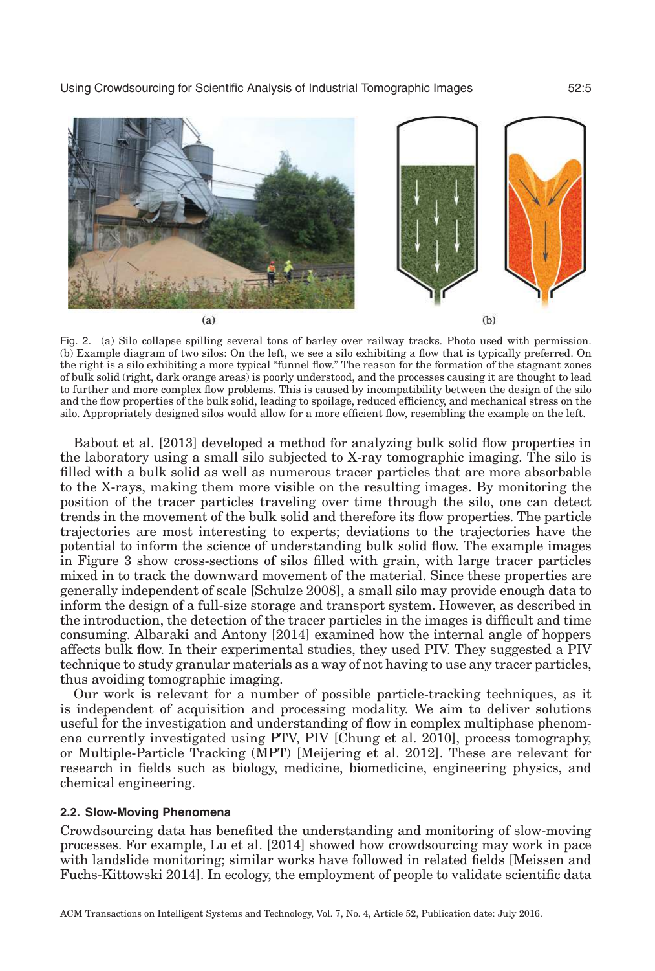<span id="page-4-0"></span>

Fig. 2. (a) Silo collapse spilling several tons of barley over railway tracks. Photo used with permission. (b) Example diagram of two silos: On the left, we see a silo exhibiting a flow that is typically preferred. On the right is a silo exhibiting a more typical "funnel flow." The reason for the formation of the stagnant zones of bulk solid (right, dark orange areas) is poorly understood, and the processes causing it are thought to lead to further and more complex flow problems. This is caused by incompatibility between the design of the silo and the flow properties of the bulk solid, leading to spoilage, reduced efficiency, and mechanical stress on the silo. Appropriately designed silos would allow for a more efficient flow, resembling the example on the left.

Babout et al. [\[2013\]](#page-23-4) developed a method for analyzing bulk solid flow properties in the laboratory using a small silo subjected to X-ray tomographic imaging. The silo is filled with a bulk solid as well as numerous tracer particles that are more absorbable to the X-rays, making them more visible on the resulting images. By monitoring the position of the tracer particles traveling over time through the silo, one can detect trends in the movement of the bulk solid and therefore its flow properties. The particle trajectories are most interesting to experts; deviations to the trajectories have the potential to inform the science of understanding bulk solid flow. The example images in Figure [3](#page-5-0) show cross-sections of silos filled with grain, with large tracer particles mixed in to track the downward movement of the material. Since these properties are generally independent of scale [Schulze [2008\]](#page-24-2), a small silo may provide enough data to inform the design of a full-size storage and transport system. However, as described in the introduction, the detection of the tracer particles in the images is difficult and time consuming. Albaraki and Antony [\[2014\]](#page-23-5) examined how the internal angle of hoppers affects bulk flow. In their experimental studies, they used PIV. They suggested a PIV technique to study granular materials as a way of not having to use any tracer particles, thus avoiding tomographic imaging.

Our work is relevant for a number of possible particle-tracking techniques, as it is independent of acquisition and processing modality. We aim to deliver solutions useful for the investigation and understanding of flow in complex multiphase phenomena currently investigated using PTV, PIV [Chung et al. [2010\]](#page-23-6), process tomography, or Multiple-Particle Tracking (MPT) [Meijering et al. [2012\]](#page-24-4). These are relevant for research in fields such as biology, medicine, biomedicine, engineering physics, and chemical engineering.

### **2.2. Slow-Moving Phenomena**

Crowdsourcing data has benefited the understanding and monitoring of slow-moving processes. For example, Lu et al. [\[2014\]](#page-24-5) showed how crowdsourcing may work in pace with landslide monitoring; similar works have followed in related fields [Meissen and Fuchs-Kittowski [2014\]](#page-24-6). In ecology, the employment of people to validate scientific data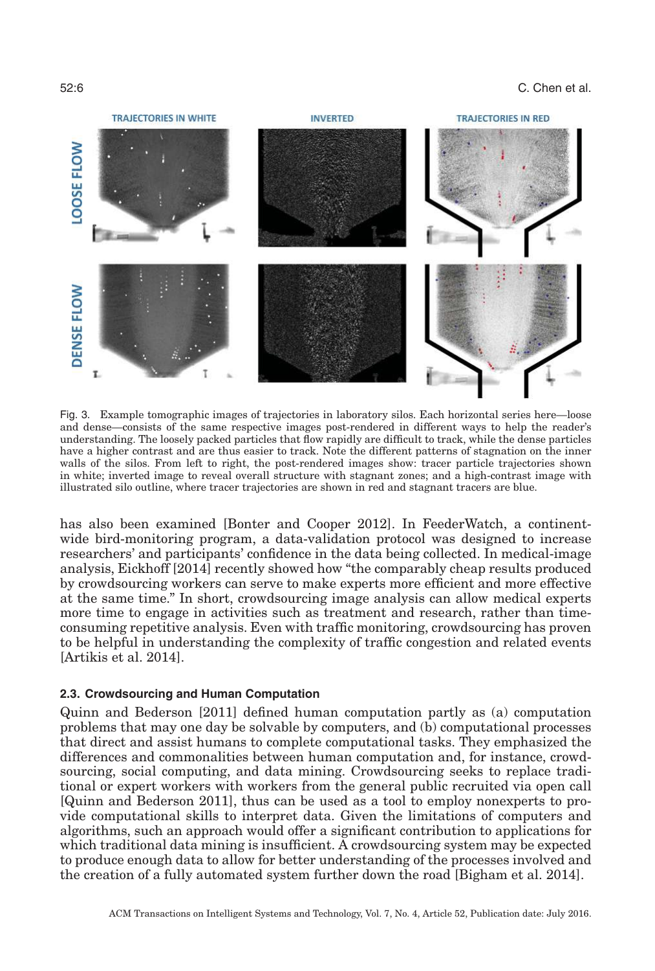<span id="page-5-0"></span>

Fig. 3. Example tomographic images of trajectories in laboratory silos. Each horizontal series here—loose and dense—consists of the same respective images post-rendered in different ways to help the reader's understanding. The loosely packed particles that flow rapidly are difficult to track, while the dense particles have a higher contrast and are thus easier to track. Note the different patterns of stagnation on the inner walls of the silos. From left to right, the post-rendered images show: tracer particle trajectories shown in white; inverted image to reveal overall structure with stagnant zones; and a high-contrast image with illustrated silo outline, where tracer trajectories are shown in red and stagnant tracers are blue.

has also been examined [Bonter and Cooper [2012\]](#page-23-7). In FeederWatch, a continentwide bird-monitoring program, a data-validation protocol was designed to increase researchers' and participants' confidence in the data being collected. In medical-image analysis, Eickhoff [\[2014\]](#page-23-8) recently showed how "the comparably cheap results produced by crowdsourcing workers can serve to make experts more efficient and more effective at the same time." In short, crowdsourcing image analysis can allow medical experts more time to engage in activities such as treatment and research, rather than timeconsuming repetitive analysis. Even with traffic monitoring, crowdsourcing has proven to be helpful in understanding the complexity of traffic congestion and related events [Artikis et al. [2014\]](#page-23-9).

# **2.3. Crowdsourcing and Human Computation**

Quinn and Bederson [\[2011\]](#page-24-7) defined human computation partly as (a) computation problems that may one day be solvable by computers, and  $(b)$  computational processes that direct and assist humans to complete computational tasks. They emphasized the differences and commonalities between human computation and, for instance, crowdsourcing, social computing, and data mining. Crowdsourcing seeks to replace traditional or expert workers with workers from the general public recruited via open call [Quinn and Bederson [2011\]](#page-24-7), thus can be used as a tool to employ nonexperts to provide computational skills to interpret data. Given the limitations of computers and algorithms, such an approach would offer a significant contribution to applications for which traditional data mining is insufficient. A crowdsourcing system may be expected to produce enough data to allow for better understanding of the processes involved and the creation of a fully automated system further down the road [Bigham et al. [2014\]](#page-23-0).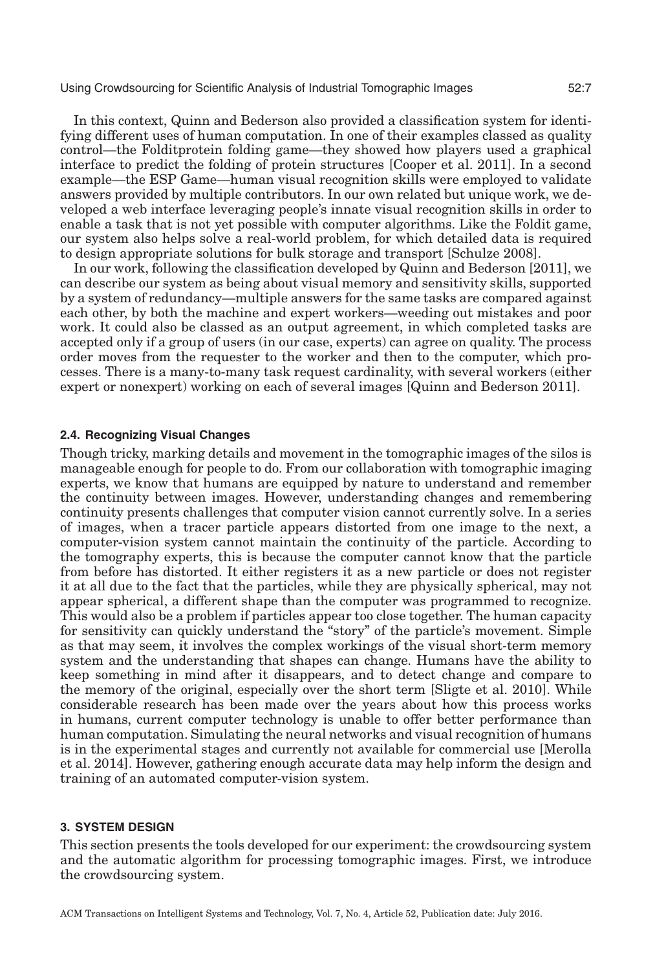In this context, Quinn and Bederson also provided a classification system for identifying different uses of human computation. In one of their examples classed as quality control—the Folditprotein folding game—they showed how players used a graphical interface to predict the folding of protein structures [Cooper et al. [2011\]](#page-23-1). In a second example—the ESP Game—human visual recognition skills were employed to validate answers provided by multiple contributors. In our own related but unique work, we developed a web interface leveraging people's innate visual recognition skills in order to enable a task that is not yet possible with computer algorithms. Like the Foldit game, our system also helps solve a real-world problem, for which detailed data is required to design appropriate solutions for bulk storage and transport [Schulze [2008\]](#page-24-2).

In our work, following the classification developed by Quinn and Bederson [\[2011\]](#page-24-7), we can describe our system as being about visual memory and sensitivity skills, supported by a system of redundancy—multiple answers for the same tasks are compared against each other, by both the machine and expert workers—weeding out mistakes and poor work. It could also be classed as an output agreement, in which completed tasks are accepted only if a group of users (in our case, experts) can agree on quality. The process order moves from the requester to the worker and then to the computer, which processes. There is a many-to-many task request cardinality, with several workers (either expert or nonexpert) working on each of several images [Quinn and Bederson [2011\]](#page-24-7).

# **2.4. Recognizing Visual Changes**

Though tricky, marking details and movement in the tomographic images of the silos is manageable enough for people to do. From our collaboration with tomographic imaging experts, we know that humans are equipped by nature to understand and remember the continuity between images. However, understanding changes and remembering continuity presents challenges that computer vision cannot currently solve. In a series of images, when a tracer particle appears distorted from one image to the next, a computer-vision system cannot maintain the continuity of the particle. According to the tomography experts, this is because the computer cannot know that the particle from before has distorted. It either registers it as a new particle or does not register it at all due to the fact that the particles, while they are physically spherical, may not appear spherical, a different shape than the computer was programmed to recognize. This would also be a problem if particles appear too close together. The human capacity for sensitivity can quickly understand the "story" of the particle's movement. Simple as that may seem, it involves the complex workings of the visual short-term memory system and the understanding that shapes can change. Humans have the ability to keep something in mind after it disappears, and to detect change and compare to the memory of the original, especially over the short term [Sligte et al. [2010\]](#page-24-8). While considerable research has been made over the years about how this process works in humans, current computer technology is unable to offer better performance than human computation. Simulating the neural networks and visual recognition of humans is in the experimental stages and currently not available for commercial use [Merolla et al. [2014\]](#page-24-9). However, gathering enough accurate data may help inform the design and training of an automated computer-vision system.

# **3. SYSTEM DESIGN**

<span id="page-6-0"></span>This section presents the tools developed for our experiment: the crowdsourcing system and the automatic algorithm for processing tomographic images. First, we introduce the crowdsourcing system.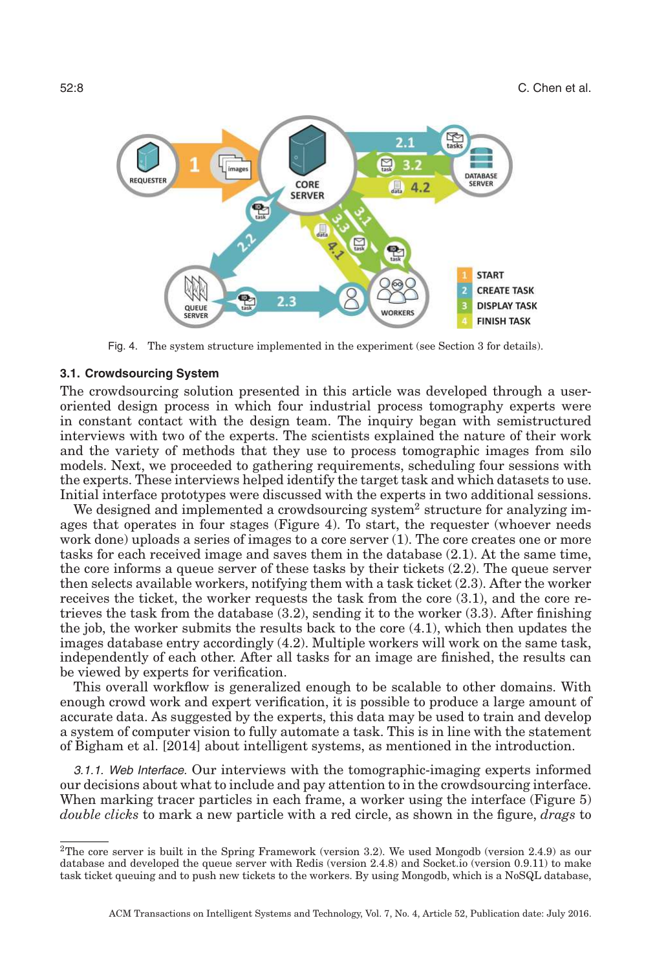<span id="page-7-1"></span>

Fig. 4. The system structure implemented in the experiment (see Section [3](#page-6-0) for details).

#### **3.1. Crowdsourcing System**

The crowdsourcing solution presented in this article was developed through a useroriented design process in which four industrial process tomography experts were in constant contact with the design team. The inquiry began with semistructured interviews with two of the experts. The scientists explained the nature of their work and the variety of methods that they use to process tomographic images from silo models. Next, we proceeded to gathering requirements, scheduling four sessions with the experts. These interviews helped identify the target task and which datasets to use. Initial interface prototypes were discussed with the experts in two additional sessions.

We designed and implemented a crowdsourcing system<sup>[2](#page-7-0)</sup> structure for analyzing images that operates in four stages (Figure [4\)](#page-7-1). To start, the requester (whoever needs work done) uploads a series of images to a core server (1). The core creates one or more tasks for each received image and saves them in the database (2.1). At the same time, the core informs a queue server of these tasks by their tickets (2.2). The queue server then selects available workers, notifying them with a task ticket (2.3). After the worker receives the ticket, the worker requests the task from the core (3.1), and the core retrieves the task from the database  $(3.2)$ , sending it to the worker  $(3.3)$ . After finishing the job, the worker submits the results back to the core (4.1), which then updates the images database entry accordingly (4.2). Multiple workers will work on the same task, independently of each other. After all tasks for an image are finished, the results can be viewed by experts for verification.

This overall workflow is generalized enough to be scalable to other domains. With enough crowd work and expert verification, it is possible to produce a large amount of accurate data. As suggested by the experts, this data may be used to train and develop a system of computer vision to fully automate a task. This is in line with the statement of Bigham et al. [\[2014\]](#page-23-0) about intelligent systems, as mentioned in the introduction.

3.1.1. Web Interface. Our interviews with the tomographic-imaging experts informed our decisions about what to include and pay attention to in the crowdsourcing interface. When marking tracer particles in each frame, a worker using the interface (Figure [5\)](#page-8-0) *double clicks* to mark a new particle with a red circle, as shown in the figure, *drags* to

<span id="page-7-0"></span> $2$ The core server is built in the Spring Framework (version 3.2). We used Mongodb (version 2.4.9) as our database and developed the queue server with Redis (version 2.4.8) and Socket.io (version 0.9.11) to make task ticket queuing and to push new tickets to the workers. By using Mongodb, which is a NoSQL database,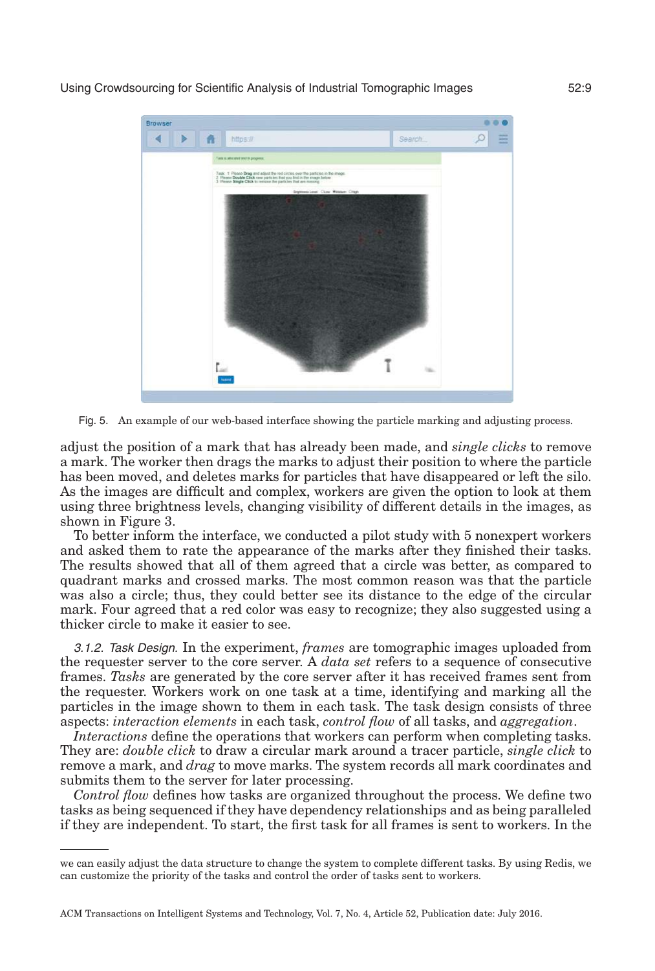<span id="page-8-0"></span>

Fig. 5. An example of our web-based interface showing the particle marking and adjusting process.

adjust the position of a mark that has already been made, and *single clicks* to remove a mark. The worker then drags the marks to adjust their position to where the particle has been moved, and deletes marks for particles that have disappeared or left the silo. As the images are difficult and complex, workers are given the option to look at them using three brightness levels, changing visibility of different details in the images, as shown in Figure [3.](#page-5-0)

To better inform the interface, we conducted a pilot study with 5 nonexpert workers and asked them to rate the appearance of the marks after they finished their tasks. The results showed that all of them agreed that a circle was better, as compared to quadrant marks and crossed marks. The most common reason was that the particle was also a circle; thus, they could better see its distance to the edge of the circular mark. Four agreed that a red color was easy to recognize; they also suggested using a thicker circle to make it easier to see.

3.1.2. Task Design. In the experiment, *frames* are tomographic images uploaded from the requester server to the core server. A *data set* refers to a sequence of consecutive frames. *Tasks* are generated by the core server after it has received frames sent from the requester. Workers work on one task at a time, identifying and marking all the particles in the image shown to them in each task. The task design consists of three aspects: *interaction elements* in each task, *control flow* of all tasks, and *aggregation*.

*Interactions* define the operations that workers can perform when completing tasks. They are: *double click* to draw a circular mark around a tracer particle, *single click* to remove a mark, and *drag* to move marks. The system records all mark coordinates and submits them to the server for later processing.

*Control flow* defines how tasks are organized throughout the process. We define two tasks as being sequenced if they have dependency relationships and as being paralleled if they are independent. To start, the first task for all frames is sent to workers. In the

we can easily adjust the data structure to change the system to complete different tasks. By using Redis, we can customize the priority of the tasks and control the order of tasks sent to workers.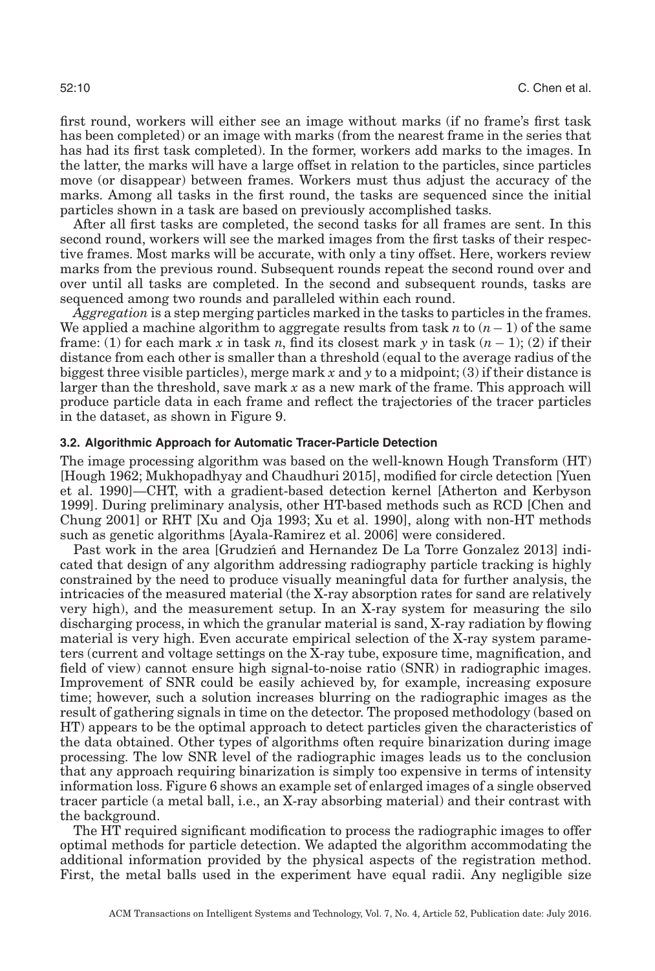first round, workers will either see an image without marks (if no frame's first task has been completed) or an image with marks (from the nearest frame in the series that has had its first task completed). In the former, workers add marks to the images. In the latter, the marks will have a large offset in relation to the particles, since particles move (or disappear) between frames. Workers must thus adjust the accuracy of the marks. Among all tasks in the first round, the tasks are sequenced since the initial particles shown in a task are based on previously accomplished tasks.

After all first tasks are completed, the second tasks for all frames are sent. In this second round, workers will see the marked images from the first tasks of their respective frames. Most marks will be accurate, with only a tiny offset. Here, workers review marks from the previous round. Subsequent rounds repeat the second round over and over until all tasks are completed. In the second and subsequent rounds, tasks are sequenced among two rounds and paralleled within each round.

*Aggregation* is a step merging particles marked in the tasks to particles in the frames. We applied a machine algorithm to aggregate results from task *n* to  $(n-1)$  of the same frame: (1) for each mark *x* in task *n*, find its closest mark *y* in task  $(n - 1)$ ; (2) if their distance from each other is smaller than a threshold (equal to the average radius of the biggest three visible particles), merge mark *x* and *y* to a midpoint; (3) if their distance is larger than the threshold, save mark *x* as a new mark of the frame. This approach will produce particle data in each frame and reflect the trajectories of the tracer particles in the dataset, as shown in Figure [9.](#page-15-0)

# **3.2. Algorithmic Approach for Automatic Tracer-Particle Detection**

<span id="page-9-0"></span>The image processing algorithm was based on the well-known Hough Transform (HT) [Hough [1962;](#page-24-10) Mukhopadhyay and Chaudhuri [2015\]](#page-24-11), modified for circle detection [Yuen et al. [1990\]](#page-24-12)—CHT, with a gradient-based detection kernel [Atherton and Kerbyson [1999\]](#page-23-10). During preliminary analysis, other HT-based methods such as RCD [Chen and Chung [2001\]](#page-23-11) or RHT [Xu and Oja [1993;](#page-24-13) Xu et al. [1990\]](#page-24-14), along with non-HT methods such as genetic algorithms [Ayala-Ramirez et al. [2006\]](#page-23-12) were considered.

Past work in the area [Grudzien and Hernandez De La Torre Gonzalez [2013\]](#page-24-3) indicated that design of any algorithm addressing radiography particle tracking is highly constrained by the need to produce visually meaningful data for further analysis, the intricacies of the measured material (the X-ray absorption rates for sand are relatively very high), and the measurement setup. In an X-ray system for measuring the silo discharging process, in which the granular material is sand, X-ray radiation by flowing material is very high. Even accurate empirical selection of the X-ray system parameters (current and voltage settings on the X-ray tube, exposure time, magnification, and field of view) cannot ensure high signal-to-noise ratio (SNR) in radiographic images. Improvement of SNR could be easily achieved by, for example, increasing exposure time; however, such a solution increases blurring on the radiographic images as the result of gathering signals in time on the detector. The proposed methodology (based on HT) appears to be the optimal approach to detect particles given the characteristics of the data obtained. Other types of algorithms often require binarization during image processing. The low SNR level of the radiographic images leads us to the conclusion that any approach requiring binarization is simply too expensive in terms of intensity information loss. Figure [6](#page-10-0) shows an example set of enlarged images of a single observed tracer particle (a metal ball, i.e., an X-ray absorbing material) and their contrast with the background.

The HT required significant modification to process the radiographic images to offer optimal methods for particle detection. We adapted the algorithm accommodating the additional information provided by the physical aspects of the registration method. First, the metal balls used in the experiment have equal radii. Any negligible size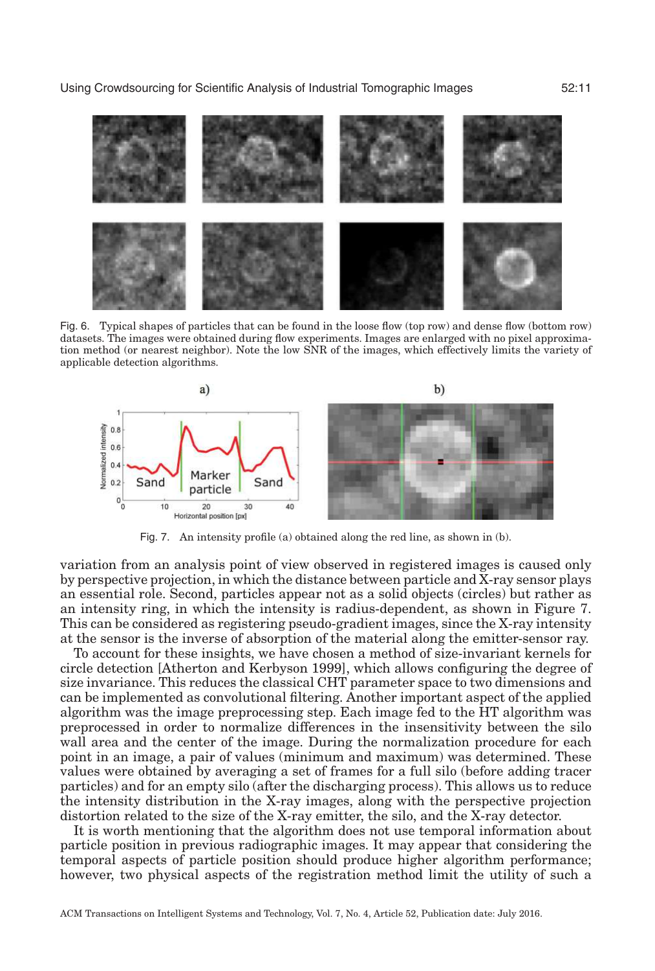<span id="page-10-0"></span>

Fig. 6. Typical shapes of particles that can be found in the loose flow (top row) and dense flow (bottom row) datasets. The images were obtained during flow experiments. Images are enlarged with no pixel approximation method (or nearest neighbor). Note the low SNR of the images, which effectively limits the variety of applicable detection algorithms.

<span id="page-10-1"></span>

Fig. 7. An intensity profile (a) obtained along the red line, as shown in (b).

variation from an analysis point of view observed in registered images is caused only by perspective projection, in which the distance between particle and X-ray sensor plays an essential role. Second, particles appear not as a solid objects (circles) but rather as an intensity ring, in which the intensity is radius-dependent, as shown in Figure [7.](#page-10-1) This can be considered as registering pseudo-gradient images, since the X-ray intensity at the sensor is the inverse of absorption of the material along the emitter-sensor ray.

To account for these insights, we have chosen a method of size-invariant kernels for circle detection [Atherton and Kerbyson [1999\]](#page-23-10), which allows configuring the degree of size invariance. This reduces the classical CHT parameter space to two dimensions and can be implemented as convolutional filtering. Another important aspect of the applied algorithm was the image preprocessing step. Each image fed to the HT algorithm was preprocessed in order to normalize differences in the insensitivity between the silo wall area and the center of the image. During the normalization procedure for each point in an image, a pair of values (minimum and maximum) was determined. These values were obtained by averaging a set of frames for a full silo (before adding tracer particles) and for an empty silo (after the discharging process). This allows us to reduce the intensity distribution in the X-ray images, along with the perspective projection distortion related to the size of the X-ray emitter, the silo, and the X-ray detector.

It is worth mentioning that the algorithm does not use temporal information about particle position in previous radiographic images. It may appear that considering the temporal aspects of particle position should produce higher algorithm performance; however, two physical aspects of the registration method limit the utility of such a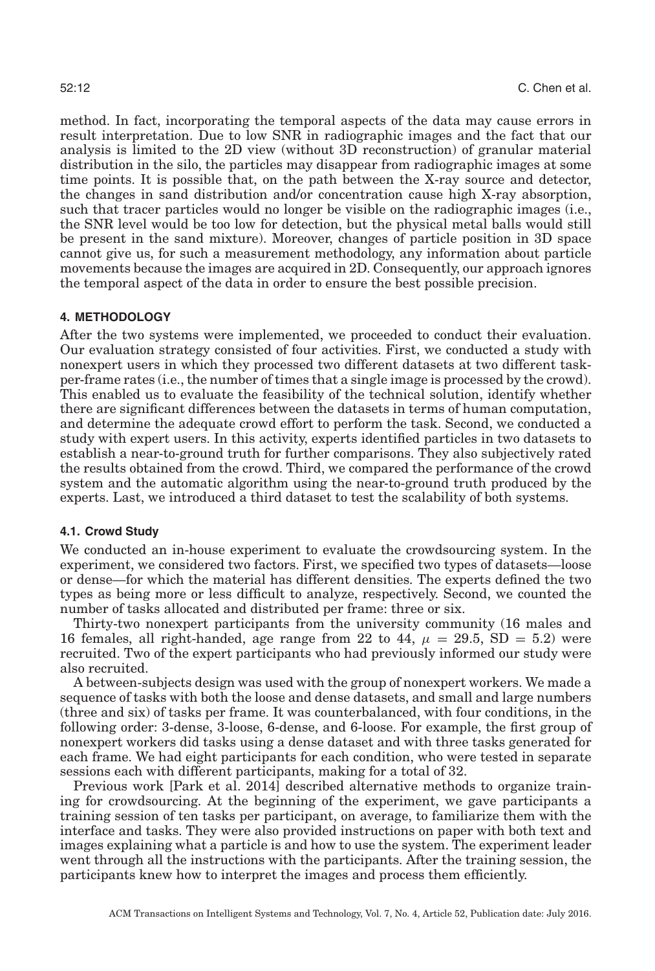method. In fact, incorporating the temporal aspects of the data may cause errors in result interpretation. Due to low SNR in radiographic images and the fact that our analysis is limited to the 2D view (without 3D reconstruction) of granular material distribution in the silo, the particles may disappear from radiographic images at some time points. It is possible that, on the path between the X-ray source and detector, the changes in sand distribution and/or concentration cause high X-ray absorption, such that tracer particles would no longer be visible on the radiographic images (i.e., the SNR level would be too low for detection, but the physical metal balls would still be present in the sand mixture). Moreover, changes of particle position in 3D space cannot give us, for such a measurement methodology, any information about particle movements because the images are acquired in 2D. Consequently, our approach ignores the temporal aspect of the data in order to ensure the best possible precision.

# **4. METHODOLOGY**

After the two systems were implemented, we proceeded to conduct their evaluation. Our evaluation strategy consisted of four activities. First, we conducted a study with nonexpert users in which they processed two different datasets at two different taskper-frame rates (i.e., the number of times that a single image is processed by the crowd). This enabled us to evaluate the feasibility of the technical solution, identify whether there are significant differences between the datasets in terms of human computation, and determine the adequate crowd effort to perform the task. Second, we conducted a study with expert users. In this activity, experts identified particles in two datasets to establish a near-to-ground truth for further comparisons. They also subjectively rated the results obtained from the crowd. Third, we compared the performance of the crowd system and the automatic algorithm using the near-to-ground truth produced by the experts. Last, we introduced a third dataset to test the scalability of both systems.

# **4.1. Crowd Study**

We conducted an in-house experiment to evaluate the crowdsourcing system. In the experiment, we considered two factors. First, we specified two types of datasets—loose or dense—for which the material has different densities. The experts defined the two types as being more or less difficult to analyze, respectively. Second, we counted the number of tasks allocated and distributed per frame: three or six.

Thirty-two nonexpert participants from the university community (16 males and 16 females, all right-handed, age range from 22 to 44,  $\mu = 29.5$ , SD = 5.2) were recruited. Two of the expert participants who had previously informed our study were also recruited.

A between-subjects design was used with the group of nonexpert workers. We made a sequence of tasks with both the loose and dense datasets, and small and large numbers (three and six) of tasks per frame. It was counterbalanced, with four conditions, in the following order: 3-dense, 3-loose, 6-dense, and 6-loose. For example, the first group of nonexpert workers did tasks using a dense dataset and with three tasks generated for each frame. We had eight participants for each condition, who were tested in separate sessions each with different participants, making for a total of 32.

Previous work [Park et al. [2014\]](#page-24-15) described alternative methods to organize training for crowdsourcing. At the beginning of the experiment, we gave participants a training session of ten tasks per participant, on average, to familiarize them with the interface and tasks. They were also provided instructions on paper with both text and images explaining what a particle is and how to use the system. The experiment leader went through all the instructions with the participants. After the training session, the participants knew how to interpret the images and process them efficiently.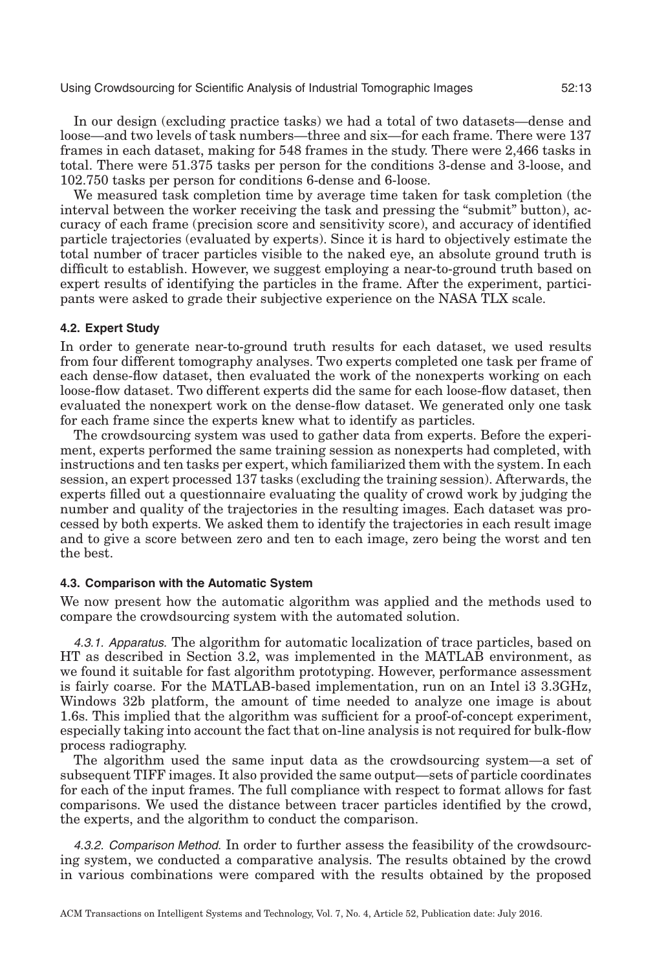In our design (excluding practice tasks) we had a total of two datasets—dense and loose—and two levels of task numbers—three and six—for each frame. There were 137 frames in each dataset, making for 548 frames in the study. There were 2,466 tasks in total. There were 51.375 tasks per person for the conditions 3-dense and 3-loose, and 102.750 tasks per person for conditions 6-dense and 6-loose.

We measured task completion time by average time taken for task completion (the interval between the worker receiving the task and pressing the "submit" button), accuracy of each frame (precision score and sensitivity score), and accuracy of identified particle trajectories (evaluated by experts). Since it is hard to objectively estimate the total number of tracer particles visible to the naked eye, an absolute ground truth is difficult to establish. However, we suggest employing a near-to-ground truth based on expert results of identifying the particles in the frame. After the experiment, participants were asked to grade their subjective experience on the NASA TLX scale.

# **4.2. Expert Study**

In order to generate near-to-ground truth results for each dataset, we used results from four different tomography analyses. Two experts completed one task per frame of each dense-flow dataset, then evaluated the work of the nonexperts working on each loose-flow dataset. Two different experts did the same for each loose-flow dataset, then evaluated the nonexpert work on the dense-flow dataset. We generated only one task for each frame since the experts knew what to identify as particles.

The crowdsourcing system was used to gather data from experts. Before the experiment, experts performed the same training session as nonexperts had completed, with instructions and ten tasks per expert, which familiarized them with the system. In each session, an expert processed 137 tasks (excluding the training session). Afterwards, the experts filled out a questionnaire evaluating the quality of crowd work by judging the number and quality of the trajectories in the resulting images. Each dataset was processed by both experts. We asked them to identify the trajectories in each result image and to give a score between zero and ten to each image, zero being the worst and ten the best.

#### **4.3. Comparison with the Automatic System**

We now present how the automatic algorithm was applied and the methods used to compare the crowdsourcing system with the automated solution.

4.3.1. Apparatus. The algorithm for automatic localization of trace particles, based on HT as described in Section [3.2,](#page-9-0) was implemented in the MATLAB environment, as we found it suitable for fast algorithm prototyping. However, performance assessment is fairly coarse. For the MATLAB-based implementation, run on an Intel i3 3.3GHz, Windows 32b platform, the amount of time needed to analyze one image is about 1.6s. This implied that the algorithm was sufficient for a proof-of-concept experiment, especially taking into account the fact that on-line analysis is not required for bulk-flow process radiography.

The algorithm used the same input data as the crowdsourcing system—a set of subsequent TIFF images. It also provided the same output—sets of particle coordinates for each of the input frames. The full compliance with respect to format allows for fast comparisons. We used the distance between tracer particles identified by the crowd, the experts, and the algorithm to conduct the comparison.

4.3.2. Comparison Method. In order to further assess the feasibility of the crowdsourcing system, we conducted a comparative analysis. The results obtained by the crowd in various combinations were compared with the results obtained by the proposed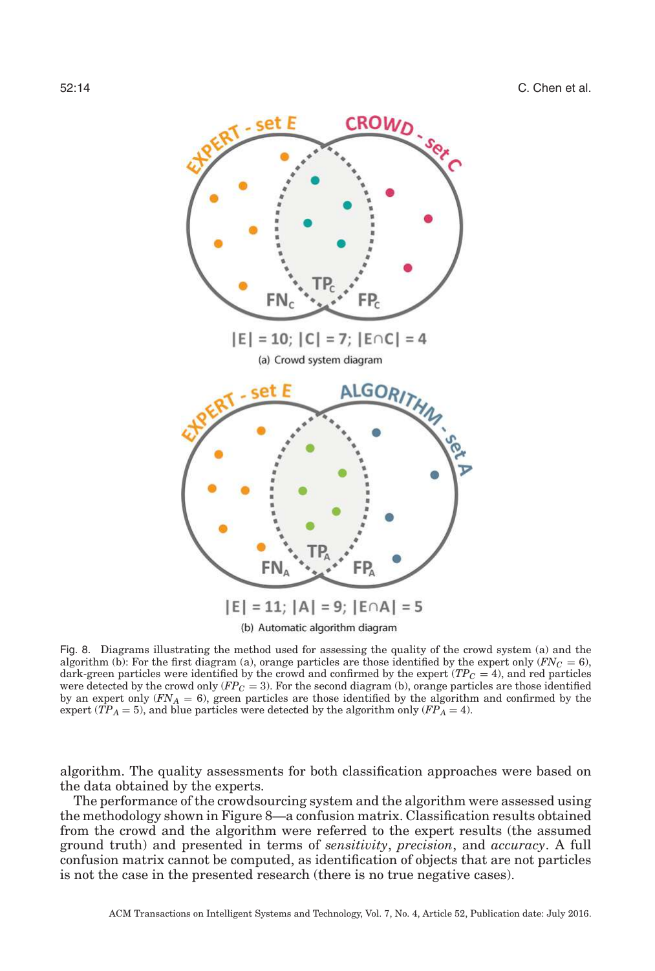<span id="page-13-0"></span>

Fig. 8. Diagrams illustrating the method used for assessing the quality of the crowd system (a) and the algorithm (b): For the first diagram (a), orange particles are those identified by the expert only  $(FN_C = 6)$ , dark-green particles were identified by the crowd and confirmed by the expert  $(TP_C = 4)$ , and red particles were detected by the crowd only  $(FP_C = 3)$ . For the second diagram (b), orange particles are those identified by an expert only  $(FN_A = 6)$ , green particles are those identified by the algorithm and confirmed by the expert  $(TP_A = 5)$ , and blue particles were detected by the algorithm only  $(FP_A = 4)$ .

algorithm. The quality assessments for both classification approaches were based on the data obtained by the experts.

The performance of the crowdsourcing system and the algorithm were assessed using the methodology shown in Figure [8—](#page-13-0)a confusion matrix. Classification results obtained from the crowd and the algorithm were referred to the expert results (the assumed ground truth) and presented in terms of *sensitivity*, *precision*, and *accuracy*. A full confusion matrix cannot be computed, as identification of objects that are not particles is not the case in the presented research (there is no true negative cases).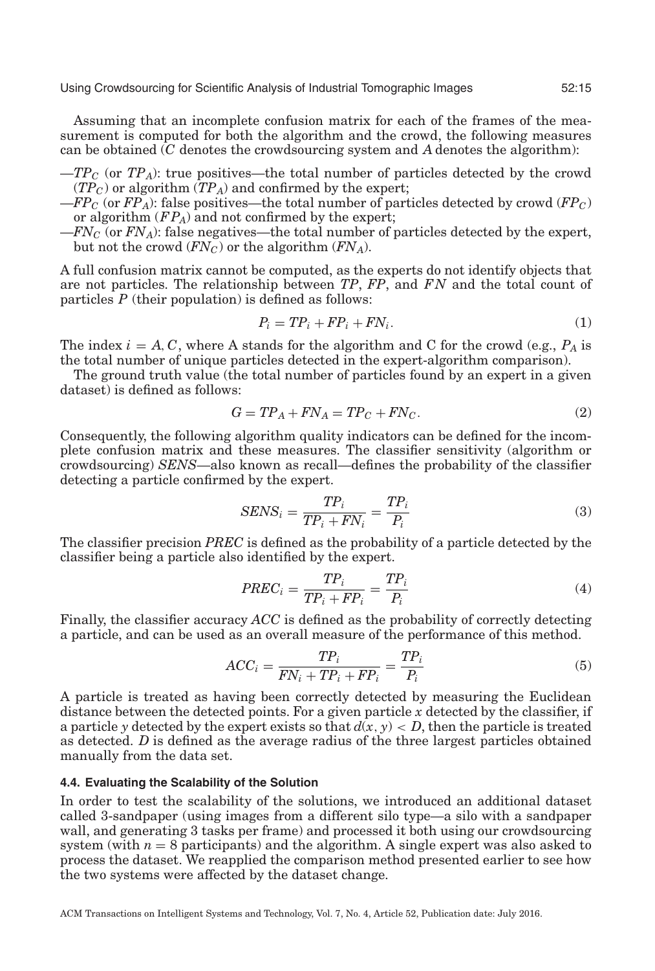Assuming that an incomplete confusion matrix for each of the frames of the measurement is computed for both the algorithm and the crowd, the following measures can be obtained (*C* denotes the crowdsourcing system and *A* denotes the algorithm):

- $-TP_C$  (or  $TP_A$ ): true positives—the total number of particles detected by the crowd  $(TP_C)$  or algorithm  $(TP_A)$  and confirmed by the expert;
- $-FP_C$  (or  $FP_A$ ): false positives—the total number of particles detected by crowd  $(FP_C)$ or algorithm  $(F P_A)$  and not confirmed by the expert;
- $-FN<sub>C</sub>$  (or  $FN<sub>A</sub>$ ): false negatives—the total number of particles detected by the expert, but not the crowd  $(FN_C)$  or the algorithm  $(FN_A)$ .

A full confusion matrix cannot be computed, as the experts do not identify objects that are not particles. The relationship between *TP*, *FP*, and *F N* and the total count of particles *P* (their population) is defined as follows:

$$
P_i = TP_i + FP_i + FN_i. \tag{1}
$$

The index  $i = A, C$ , where A stands for the algorithm and C for the crowd (e.g.,  $P_A$  is the total number of unique particles detected in the expert-algorithm comparison).

The ground truth value (the total number of particles found by an expert in a given dataset) is defined as follows:

$$
G = TP_A + FN_A = TP_C + FN_C. \tag{2}
$$

Consequently, the following algorithm quality indicators can be defined for the incomplete confusion matrix and these measures. The classifier sensitivity (algorithm or crowdsourcing) *SENS*—also known as recall—defines the probability of the classifier detecting a particle confirmed by the expert.

<span id="page-14-1"></span>
$$
SENS_i = \frac{TP_i}{TP_i + FN_i} = \frac{TP_i}{P_i}
$$
\n<sup>(3)</sup>

The classifier precision *PREC* is defined as the probability of a particle detected by the classifier being a particle also identified by the expert.

<span id="page-14-2"></span><span id="page-14-0"></span>
$$
PREC_i = \frac{TP_i}{TP_i + FP_i} = \frac{TP_i}{P_i}
$$
\n<sup>(4)</sup>

Finally, the classifier accuracy *ACC* is defined as the probability of correctly detecting a particle, and can be used as an overall measure of the performance of this method.

$$
ACC_i = \frac{TP_i}{FN_i + TP_i + FP_i} = \frac{TP_i}{P_i}
$$
\n
$$
(5)
$$

A particle is treated as having been correctly detected by measuring the Euclidean distance between the detected points. For a given particle  $x$  detected by the classifier, if a particle *y* detected by the expert exists so that  $d(x, y) < D$ , then the particle is treated as detected. *D* is defined as the average radius of the three largest particles obtained manually from the data set.

### **4.4. Evaluating the Scalability of the Solution**

In order to test the scalability of the solutions, we introduced an additional dataset called 3-sandpaper (using images from a different silo type—a silo with a sandpaper wall, and generating 3 tasks per frame) and processed it both using our crowdsourcing system (with  $n = 8$  participants) and the algorithm. A single expert was also asked to process the dataset. We reapplied the comparison method presented earlier to see how the two systems were affected by the dataset change.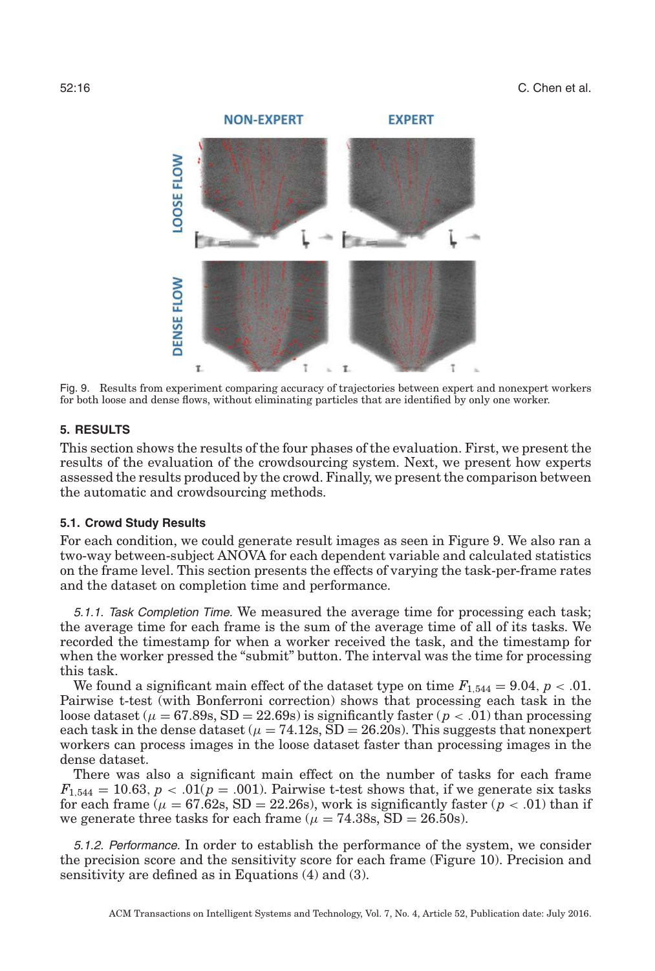<span id="page-15-0"></span>

Fig. 9. Results from experiment comparing accuracy of trajectories between expert and nonexpert workers for both loose and dense flows, without eliminating particles that are identified by only one worker.

# **5. RESULTS**

This section shows the results of the four phases of the evaluation. First, we present the results of the evaluation of the crowdsourcing system. Next, we present how experts assessed the results produced by the crowd. Finally, we present the comparison between the automatic and crowdsourcing methods.

# **5.1. Crowd Study Results**

For each condition, we could generate result images as seen in Figure [9.](#page-15-0) We also ran a two-way between-subject ANOVA for each dependent variable and calculated statistics on the frame level. This section presents the effects of varying the task-per-frame rates and the dataset on completion time and performance.

5.1.1. Task Completion Time. We measured the average time for processing each task; the average time for each frame is the sum of the average time of all of its tasks. We recorded the timestamp for when a worker received the task, and the timestamp for when the worker pressed the "submit" button. The interval was the time for processing this task.

We found a significant main effect of the dataset type on time  $F_{1,544} = 9.04, p < .01$ . Pairwise t-test (with Bonferroni correction) shows that processing each task in the loose dataset ( $\mu = 67.89$ s, SD = 22.69s) is significantly faster ( $p < .01$ ) than processing each task in the dense dataset ( $\mu = 74.12$ s, SD = 26.20s). This suggests that nonexpert workers can process images in the loose dataset faster than processing images in the dense dataset.

There was also a significant main effect on the number of tasks for each frame  $F_{1,544} = 10.63, p < .01(p = .001)$ . Pairwise t-test shows that, if we generate six tasks for each frame  $(\mu = 67.62s, SD = 22.26s)$ , work is significantly faster  $(p < .01)$  than if we generate three tasks for each frame ( $\mu = 74.38$ s, SD = 26.50s).

5.1.2. Performance. In order to establish the performance of the system, we consider the precision score and the sensitivity score for each frame (Figure [10\)](#page-16-0). Precision and sensitivity are defined as in Equations [\(4\)](#page-14-0) and [\(3\)](#page-14-1).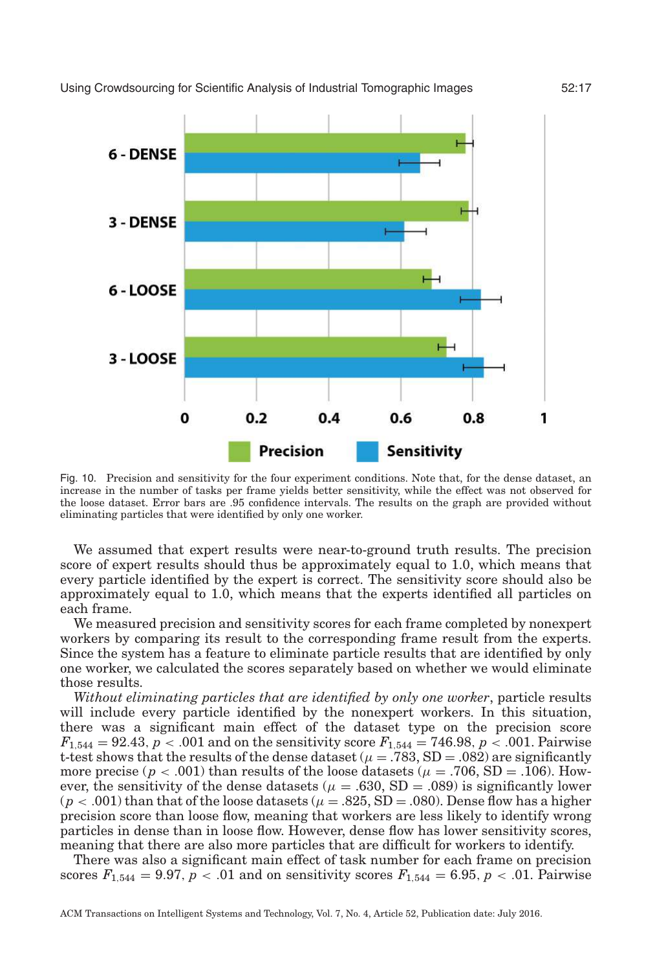<span id="page-16-0"></span>

Fig. 10. Precision and sensitivity for the four experiment conditions. Note that, for the dense dataset, an increase in the number of tasks per frame yields better sensitivity, while the effect was not observed for the loose dataset. Error bars are .95 confidence intervals. The results on the graph are provided without eliminating particles that were identified by only one worker.

We assumed that expert results were near-to-ground truth results. The precision score of expert results should thus be approximately equal to 1.0, which means that every particle identified by the expert is correct. The sensitivity score should also be approximately equal to 1.0, which means that the experts identified all particles on each frame.

We measured precision and sensitivity scores for each frame completed by nonexpert workers by comparing its result to the corresponding frame result from the experts. Since the system has a feature to eliminate particle results that are identified by only one worker, we calculated the scores separately based on whether we would eliminate those results.

*Without eliminating particles that are identified by only one worker*, particle results will include every particle identified by the nonexpert workers. In this situation, there was a significant main effect of the dataset type on the precision score  $F_{1,544} = 92.43, p < .001$  and on the sensitivity score  $F_{1,544} = 746.98, p < .001$ . Pairwise t-test shows that the results of the dense dataset ( $\mu = 783$ , SD = .082) are significantly more precise ( $p < .001$ ) than results of the loose datasets ( $\mu = .706$ , SD = .106). However, the sensitivity of the dense datasets ( $\mu = .630$ , SD = .089) is significantly lower  $(p < .001)$  than that of the loose datasets  $(\mu = .825, SD = .080)$ . Dense flow has a higher precision score than loose flow, meaning that workers are less likely to identify wrong particles in dense than in loose flow. However, dense flow has lower sensitivity scores, meaning that there are also more particles that are difficult for workers to identify.

There was also a significant main effect of task number for each frame on precision scores  $F_{1,544} = 9.97, p < .01$  and on sensitivity scores  $F_{1,544} = 6.95, p < .01$ . Pairwise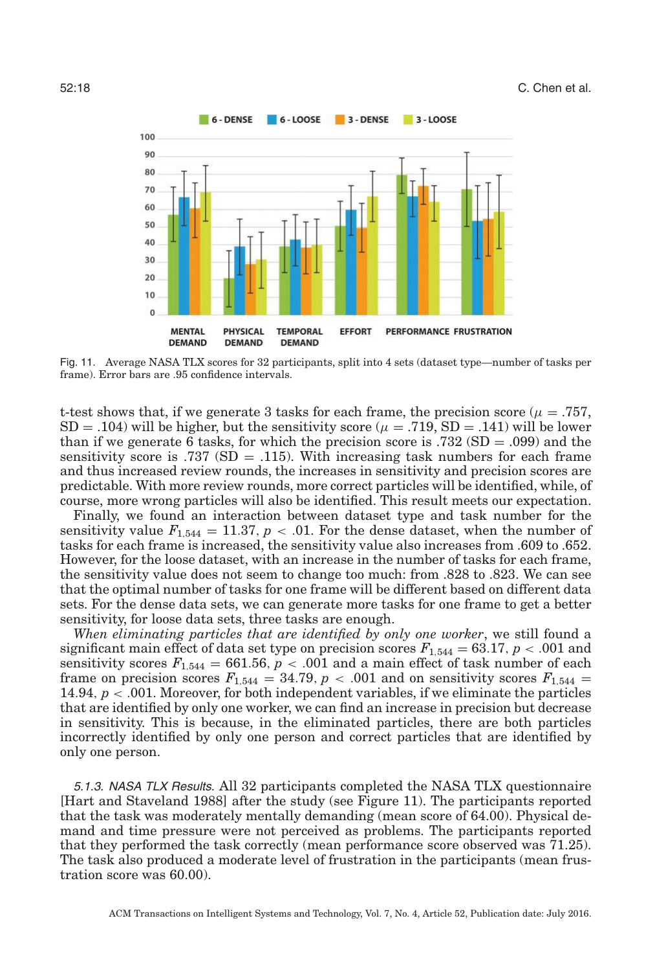<span id="page-17-0"></span>

Fig. 11. Average NASA TLX scores for 32 participants, split into 4 sets (dataset type—number of tasks per frame). Error bars are .95 confidence intervals.

t-test shows that, if we generate 3 tasks for each frame, the precision score ( $\mu = .757$ ,  $SD = .104$ ) will be higher, but the sensitivity score ( $\mu = .719$ ,  $SD = .141$ ) will be lower than if we generate 6 tasks, for which the precision score is  $.732 \text{ (SD} = .099)$  and the sensitivity score is .737 (SD = .115). With increasing task numbers for each frame and thus increased review rounds, the increases in sensitivity and precision scores are predictable. With more review rounds, more correct particles will be identified, while, of course, more wrong particles will also be identified. This result meets our expectation.

Finally, we found an interaction between dataset type and task number for the sensitivity value  $F_{1,544} = 11.37, p < .01$ . For the dense dataset, when the number of tasks for each frame is increased, the sensitivity value also increases from .609 to .652. However, for the loose dataset, with an increase in the number of tasks for each frame, the sensitivity value does not seem to change too much: from .828 to .823. We can see that the optimal number of tasks for one frame will be different based on different data sets. For the dense data sets, we can generate more tasks for one frame to get a better sensitivity, for loose data sets, three tasks are enough.

*When eliminating particles that are identified by only one worker*, we still found a significant main effect of data set type on precision scores  $F_{1,544} = 63.17, p < .001$  and sensitivity scores  $F_{1,544} = 661.56, p < .001$  and a main effect of task number of each frame on precision scores  $F_{1,544} = 34.79, p < .001$  and on sensitivity scores  $F_{1,544} =$ 14.94, *p* < .001. Moreover, for both independent variables, if we eliminate the particles that are identified by only one worker, we can find an increase in precision but decrease in sensitivity. This is because, in the eliminated particles, there are both particles incorrectly identified by only one person and correct particles that are identified by only one person.

5.1.3. NASA TLX Results. All 32 participants completed the NASA TLX questionnaire [Hart and Staveland [1988\]](#page-24-16) after the study (see Figure [11\)](#page-17-0). The participants reported that the task was moderately mentally demanding (mean score of 64.00). Physical demand and time pressure were not perceived as problems. The participants reported that they performed the task correctly (mean performance score observed was 71.25). The task also produced a moderate level of frustration in the participants (mean frustration score was 60.00).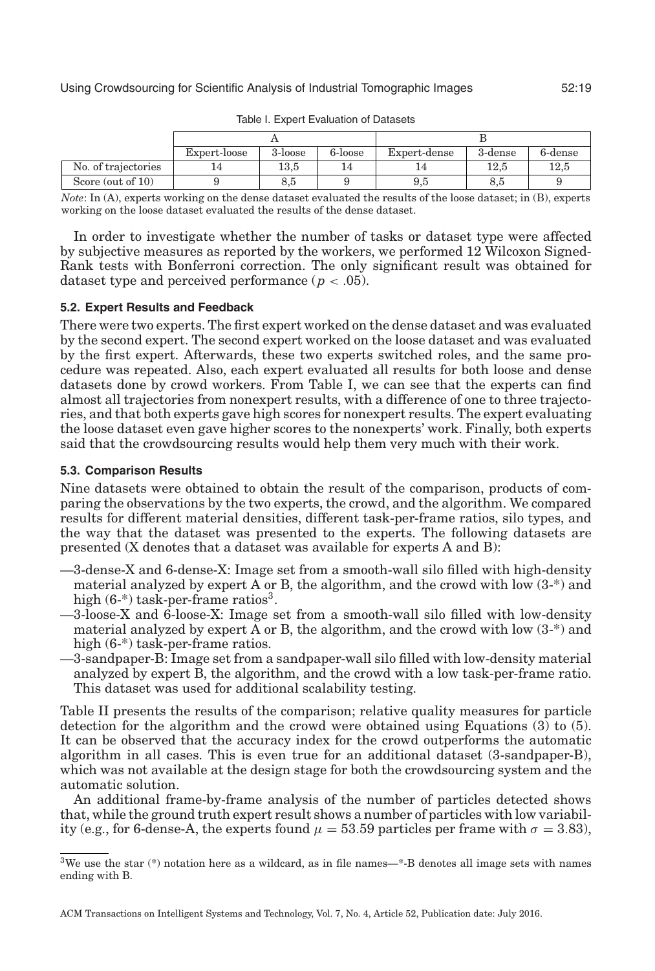<span id="page-18-0"></span>

|                     | Expert-loose | 3-loose   | 6-loose | Expert-dense | 3-dense  | 6-dense  |
|---------------------|--------------|-----------|---------|--------------|----------|----------|
| No. of trajectories |              | $^{13.5}$ |         |              | $12.5\,$ | $12.5\,$ |
| Score (out of 10)   |              | 8.5       |         | 9.5          | ο.υ      |          |

Table I. Expert Evaluation of Datasets

*Note*: In (A), experts working on the dense dataset evaluated the results of the loose dataset; in (B), experts working on the loose dataset evaluated the results of the dense dataset.

In order to investigate whether the number of tasks or dataset type were affected by subjective measures as reported by the workers, we performed 12 Wilcoxon Signed-Rank tests with Bonferroni correction. The only significant result was obtained for dataset type and perceived performance  $(p < .05)$ .

# **5.2. Expert Results and Feedback**

There were two experts. The first expert worked on the dense dataset and was evaluated by the second expert. The second expert worked on the loose dataset and was evaluated by the first expert. Afterwards, these two experts switched roles, and the same procedure was repeated. Also, each expert evaluated all results for both loose and dense datasets done by crowd workers. From Table [I,](#page-18-0) we can see that the experts can find almost all trajectories from nonexpert results, with a difference of one to three trajectories, and that both experts gave high scores for nonexpert results. The expert evaluating the loose dataset even gave higher scores to the nonexperts' work. Finally, both experts said that the crowdsourcing results would help them very much with their work.

#### **5.3. Comparison Results**

Nine datasets were obtained to obtain the result of the comparison, products of comparing the observations by the two experts, the crowd, and the algorithm. We compared results for different material densities, different task-per-frame ratios, silo types, and the way that the dataset was presented to the experts. The following datasets are presented (X denotes that a dataset was available for experts A and B):

- —3-dense-X and 6-dense-X: Image set from a smooth-wall silo filled with high-density material analyzed by expert A or B, the algorithm, and the crowd with low (3-\*) and high  $(6-*)$  task-per-frame ratios<sup>3</sup>.
- —3-loose-X and 6-loose-X: Image set from a smooth-wall silo filled with low-density material analyzed by expert A or B, the algorithm, and the crowd with low (3-\*) and high  $(6<sup>*</sup>)$  task-per-frame ratios.
- —3-sandpaper-B: Image set from a sandpaper-wall silo filled with low-density material analyzed by expert B, the algorithm, and the crowd with a low task-per-frame ratio. This dataset was used for additional scalability testing.

Table [II](#page-19-0) presents the results of the comparison; relative quality measures for particle detection for the algorithm and the crowd were obtained using Equations [\(3\)](#page-14-1) to [\(5\)](#page-14-2). It can be observed that the accuracy index for the crowd outperforms the automatic algorithm in all cases. This is even true for an additional dataset (3-sandpaper-B), which was not available at the design stage for both the crowdsourcing system and the automatic solution.

An additional frame-by-frame analysis of the number of particles detected shows that, while the ground truth expert result shows a number of particles with low variability (e.g., for 6-dense-A, the experts found  $\mu = 53.59$  particles per frame with  $\sigma = 3.83$ ),

<span id="page-18-1"></span> $3$ We use the star (\*) notation here as a wildcard, as in file names—\*-B denotes all image sets with names ending with B.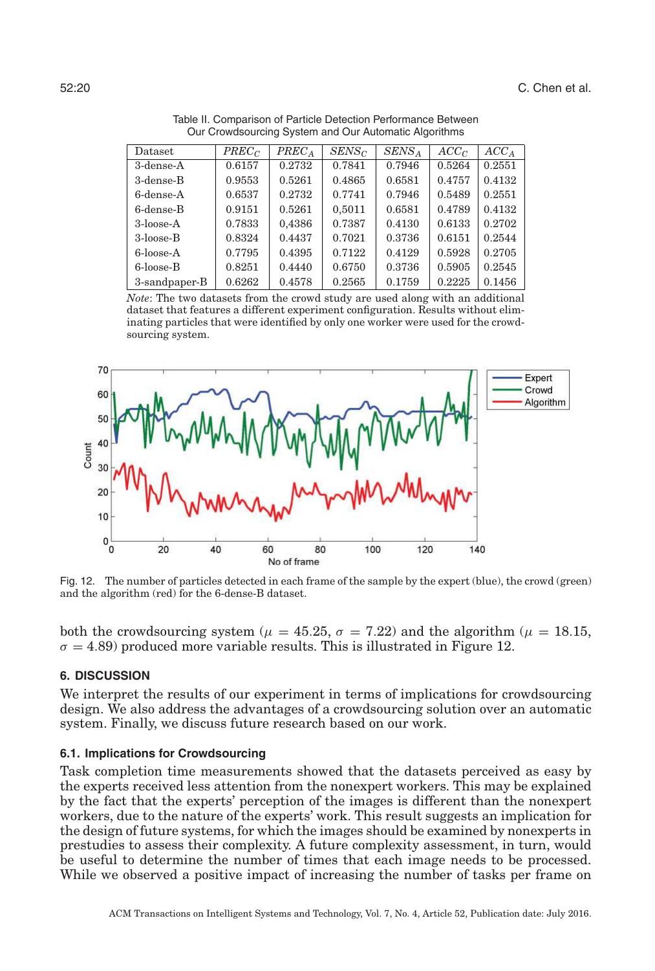<span id="page-19-0"></span>

| Dataset         | $PREC_C$ | $PREC_A$ | $SENS_C$ | $SENS_A$ | $ACC_C$ | ACC <sub>A</sub> |
|-----------------|----------|----------|----------|----------|---------|------------------|
| 3-dense-A       | 0.6157   | 0.2732   | 0.7841   | 0.7946   | 0.5264  | 0.2551           |
| 3-dense-B       | 0.9553   | 0.5261   | 0.4865   | 0.6581   | 0.4757  | 0.4132           |
| 6-dense-A       | 0.6537   | 0.2732   | 0.7741   | 0.7946   | 0.5489  | 0.2551           |
| $6$ -dense- $B$ | 0.9151   | 0.5261   | 0,5011   | 0.6581   | 0.4789  | 0.4132           |
| $3$ -loose-A    | 0.7833   | 0.4386   | 0.7387   | 0.4130   | 0.6133  | 0.2702           |
| $3$ -loose- $B$ | 0.8324   | 0.4437   | 0.7021   | 0.3736   | 0.6151  | 0.2544           |
| $6$ -loose-A    | 0.7795   | 0.4395   | 0.7122   | 0.4129   | 0.5928  | 0.2705           |
| $6$ -loose- $B$ | 0.8251   | 0.4440   | 0.6750   | 0.3736   | 0.5905  | 0.2545           |
| 3-sandpaper-B   | 0.6262   | 0.4578   | 0.2565   | 0.1759   | 0.2225  | 0.1456           |

Table II. Comparison of Particle Detection Performance Between Our Crowdsourcing System and Our Automatic Algorithms

*Note*: The two datasets from the crowd study are used along with an additional dataset that features a different experiment configuration. Results without eliminating particles that were identified by only one worker were used for the crowdsourcing system.

<span id="page-19-1"></span>

Fig. 12. The number of particles detected in each frame of the sample by the expert (blue), the crowd (green) and the algorithm (red) for the 6-dense-B dataset.

both the crowdsourcing system ( $\mu = 45.25$ ,  $\sigma = 7.22$ ) and the algorithm ( $\mu = 18.15$ ,  $\sigma = 4.89$ ) produced more variable results. This is illustrated in Figure [12.](#page-19-1)

# **6. DISCUSSION**

We interpret the results of our experiment in terms of implications for crowdsourcing design. We also address the advantages of a crowdsourcing solution over an automatic system. Finally, we discuss future research based on our work.

#### **6.1. Implications for Crowdsourcing**

Task completion time measurements showed that the datasets perceived as easy by the experts received less attention from the nonexpert workers. This may be explained by the fact that the experts' perception of the images is different than the nonexpert workers, due to the nature of the experts' work. This result suggests an implication for the design of future systems, for which the images should be examined by nonexperts in prestudies to assess their complexity. A future complexity assessment, in turn, would be useful to determine the number of times that each image needs to be processed. While we observed a positive impact of increasing the number of tasks per frame on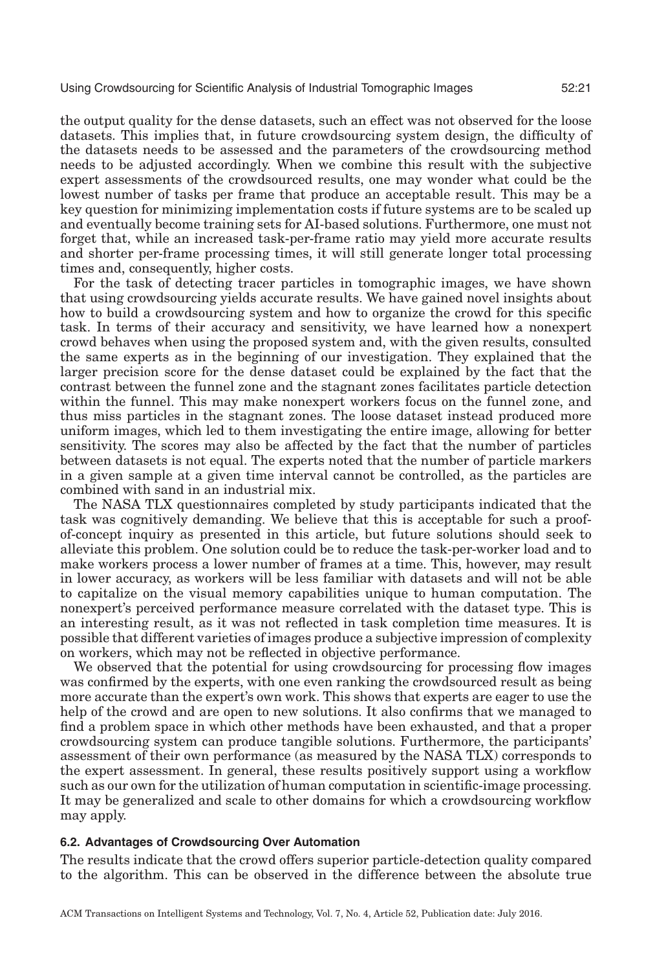the output quality for the dense datasets, such an effect was not observed for the loose datasets. This implies that, in future crowdsourcing system design, the difficulty of the datasets needs to be assessed and the parameters of the crowdsourcing method needs to be adjusted accordingly. When we combine this result with the subjective expert assessments of the crowdsourced results, one may wonder what could be the lowest number of tasks per frame that produce an acceptable result. This may be a key question for minimizing implementation costs if future systems are to be scaled up and eventually become training sets for AI-based solutions. Furthermore, one must not forget that, while an increased task-per-frame ratio may yield more accurate results and shorter per-frame processing times, it will still generate longer total processing times and, consequently, higher costs.

For the task of detecting tracer particles in tomographic images, we have shown that using crowdsourcing yields accurate results. We have gained novel insights about how to build a crowdsourcing system and how to organize the crowd for this specific task. In terms of their accuracy and sensitivity, we have learned how a nonexpert crowd behaves when using the proposed system and, with the given results, consulted the same experts as in the beginning of our investigation. They explained that the larger precision score for the dense dataset could be explained by the fact that the contrast between the funnel zone and the stagnant zones facilitates particle detection within the funnel. This may make nonexpert workers focus on the funnel zone, and thus miss particles in the stagnant zones. The loose dataset instead produced more uniform images, which led to them investigating the entire image, allowing for better sensitivity. The scores may also be affected by the fact that the number of particles between datasets is not equal. The experts noted that the number of particle markers in a given sample at a given time interval cannot be controlled, as the particles are combined with sand in an industrial mix.

The NASA TLX questionnaires completed by study participants indicated that the task was cognitively demanding. We believe that this is acceptable for such a proofof-concept inquiry as presented in this article, but future solutions should seek to alleviate this problem. One solution could be to reduce the task-per-worker load and to make workers process a lower number of frames at a time. This, however, may result in lower accuracy, as workers will be less familiar with datasets and will not be able to capitalize on the visual memory capabilities unique to human computation. The nonexpert's perceived performance measure correlated with the dataset type. This is an interesting result, as it was not reflected in task completion time measures. It is possible that different varieties of images produce a subjective impression of complexity on workers, which may not be reflected in objective performance.

We observed that the potential for using crowdsourcing for processing flow images was confirmed by the experts, with one even ranking the crowdsourced result as being more accurate than the expert's own work. This shows that experts are eager to use the help of the crowd and are open to new solutions. It also confirms that we managed to find a problem space in which other methods have been exhausted, and that a proper crowdsourcing system can produce tangible solutions. Furthermore, the participants' assessment of their own performance (as measured by the NASA TLX) corresponds to the expert assessment. In general, these results positively support using a workflow such as our own for the utilization of human computation in scientific-image processing. It may be generalized and scale to other domains for which a crowdsourcing workflow may apply.

#### **6.2. Advantages of Crowdsourcing Over Automation**

The results indicate that the crowd offers superior particle-detection quality compared to the algorithm. This can be observed in the difference between the absolute true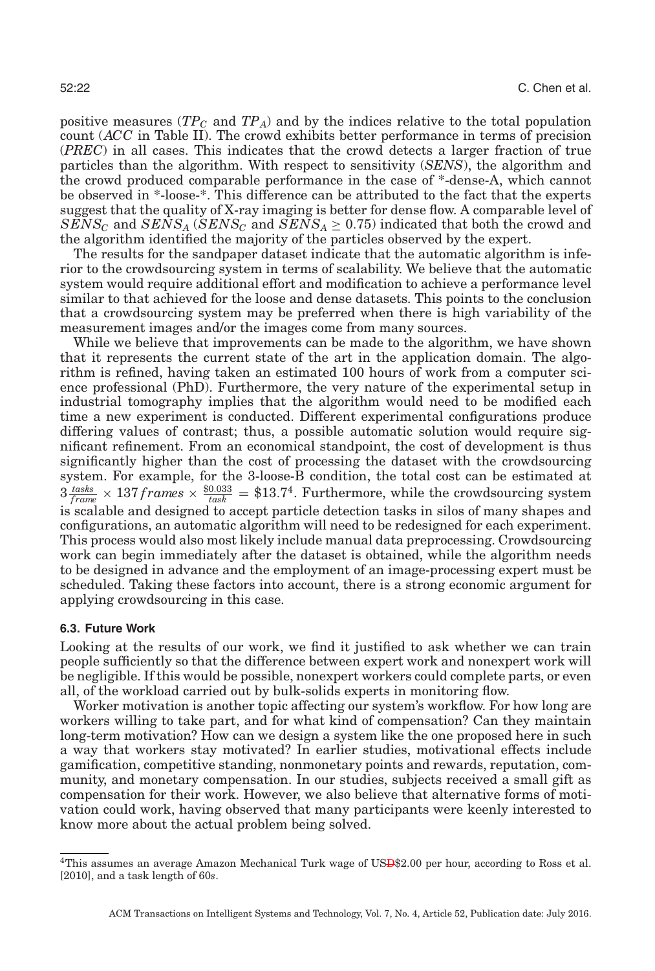positive measures  $(TP_C \text{ and } TP_A)$  and by the indices relative to the total population count (*ACC* in Table [II\)](#page-19-0). The crowd exhibits better performance in terms of precision (*PREC*) in all cases. This indicates that the crowd detects a larger fraction of true particles than the algorithm. With respect to sensitivity (*SENS*), the algorithm and the crowd produced comparable performance in the case of \*-dense-A, which cannot be observed in \*-loose-\*. This difference can be attributed to the fact that the experts suggest that the quality of X-ray imaging is better for dense flow. A comparable level of  $SENS<sub>C</sub>$  and  $SENS<sub>A</sub>$  (*SENS<sub>C</sub>* and  $SENS<sub>A</sub> \ge 0.75$ ) indicated that both the crowd and the algorithm identified the majority of the particles observed by the expert.

The results for the sandpaper dataset indicate that the automatic algorithm is inferior to the crowdsourcing system in terms of scalability. We believe that the automatic system would require additional effort and modification to achieve a performance level similar to that achieved for the loose and dense datasets. This points to the conclusion that a crowdsourcing system may be preferred when there is high variability of the measurement images and/or the images come from many sources.

While we believe that improvements can be made to the algorithm, we have shown that it represents the current state of the art in the application domain. The algorithm is refined, having taken an estimated 100 hours of work from a computer science professional (PhD). Furthermore, the very nature of the experimental setup in industrial tomography implies that the algorithm would need to be modified each time a new experiment is conducted. Different experimental configurations produce differing values of contrast; thus, a possible automatic solution would require significant refinement. From an economical standpoint, the cost of development is thus significantly higher than the cost of processing the dataset with the crowdsourcing system. For example, for the 3-loose-B condition, the total cost can be estimated at  $3 \frac{tasks}{frame} \times 137 frames \times \frac{$0.033}{task} = $13.7^4$ . Furthermore, while the crowdsourcing system is scalable and designed to accept particle detection tasks in silos of many shapes and configurations, an automatic algorithm will need to be redesigned for each experiment. This process would also most likely include manual data preprocessing. Crowdsourcing work can begin immediately after the dataset is obtained, while the algorithm needs to be designed in advance and the employment of an image-processing expert must be scheduled. Taking these factors into account, there is a strong economic argument for applying crowdsourcing in this case.

### **6.3. Future Work**

Looking at the results of our work, we find it justified to ask whether we can train people sufficiently so that the difference between expert work and nonexpert work will be negligible. If this would be possible, nonexpert workers could complete parts, or even all, of the workload carried out by bulk-solids experts in monitoring flow.

Worker motivation is another topic affecting our system's workflow. For how long are workers willing to take part, and for what kind of compensation? Can they maintain long-term motivation? How can we design a system like the one proposed here in such a way that workers stay motivated? In earlier studies, motivational effects include gamification, competitive standing, nonmonetary points and rewards, reputation, community, and monetary compensation. In our studies, subjects received a small gift as compensation for their work. However, we also believe that alternative forms of motivation could work, having observed that many participants were keenly interested to know more about the actual problem being solved.

<span id="page-21-0"></span><sup>&</sup>lt;sup>4</sup>This assumes an average Amazon Mechanical Turk wage of US<del>D\$</del>2.00 per hour, according to Ross et al. [\[2010\]](#page-24-17), and a task length of 60*s*.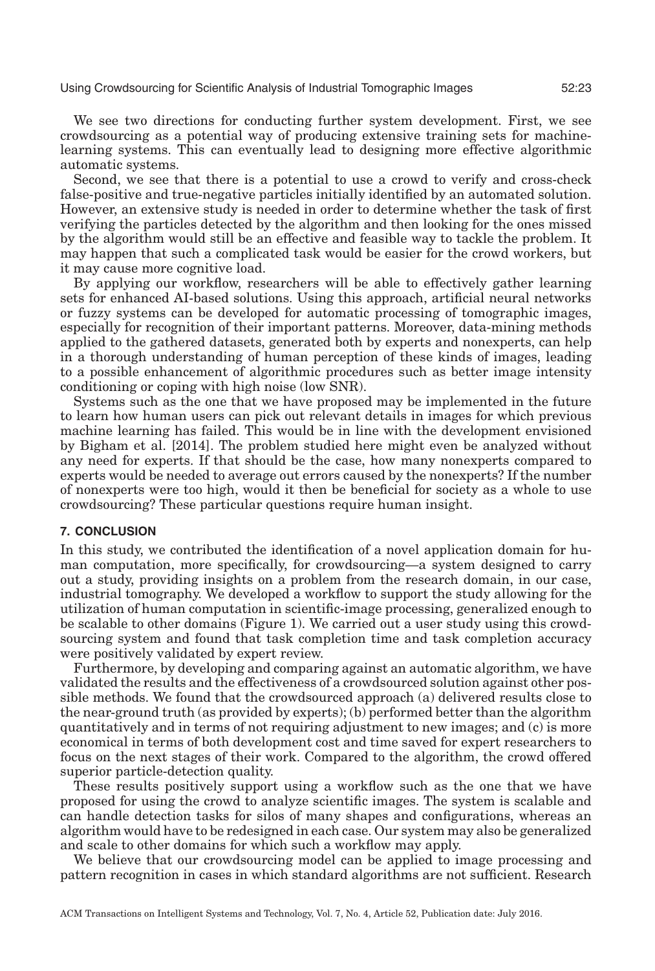We see two directions for conducting further system development. First, we see crowdsourcing as a potential way of producing extensive training sets for machinelearning systems. This can eventually lead to designing more effective algorithmic automatic systems.

Second, we see that there is a potential to use a crowd to verify and cross-check false-positive and true-negative particles initially identified by an automated solution. However, an extensive study is needed in order to determine whether the task of first verifying the particles detected by the algorithm and then looking for the ones missed by the algorithm would still be an effective and feasible way to tackle the problem. It may happen that such a complicated task would be easier for the crowd workers, but it may cause more cognitive load.

By applying our workflow, researchers will be able to effectively gather learning sets for enhanced AI-based solutions. Using this approach, artificial neural networks or fuzzy systems can be developed for automatic processing of tomographic images, especially for recognition of their important patterns. Moreover, data-mining methods applied to the gathered datasets, generated both by experts and nonexperts, can help in a thorough understanding of human perception of these kinds of images, leading to a possible enhancement of algorithmic procedures such as better image intensity conditioning or coping with high noise (low SNR).

Systems such as the one that we have proposed may be implemented in the future to learn how human users can pick out relevant details in images for which previous machine learning has failed. This would be in line with the development envisioned by Bigham et al. [\[2014\]](#page-23-0). The problem studied here might even be analyzed without any need for experts. If that should be the case, how many nonexperts compared to experts would be needed to average out errors caused by the nonexperts? If the number of nonexperts were too high, would it then be beneficial for society as a whole to use crowdsourcing? These particular questions require human insight.

# **7. CONCLUSION**

In this study, we contributed the identification of a novel application domain for human computation, more specifically, for crowdsourcing—a system designed to carry out a study, providing insights on a problem from the research domain, in our case, industrial tomography. We developed a workflow to support the study allowing for the utilization of human computation in scientific-image processing, generalized enough to be scalable to other domains (Figure [1\)](#page-3-0). We carried out a user study using this crowdsourcing system and found that task completion time and task completion accuracy were positively validated by expert review.

Furthermore, by developing and comparing against an automatic algorithm, we have validated the results and the effectiveness of a crowdsourced solution against other possible methods. We found that the crowdsourced approach (a) delivered results close to the near-ground truth (as provided by experts); (b) performed better than the algorithm quantitatively and in terms of not requiring adjustment to new images; and (c) is more economical in terms of both development cost and time saved for expert researchers to focus on the next stages of their work. Compared to the algorithm, the crowd offered superior particle-detection quality.

These results positively support using a workflow such as the one that we have proposed for using the crowd to analyze scientific images. The system is scalable and can handle detection tasks for silos of many shapes and configurations, whereas an algorithm would have to be redesigned in each case. Our system may also be generalized and scale to other domains for which such a workflow may apply.

We believe that our crowdsourcing model can be applied to image processing and pattern recognition in cases in which standard algorithms are not sufficient. Research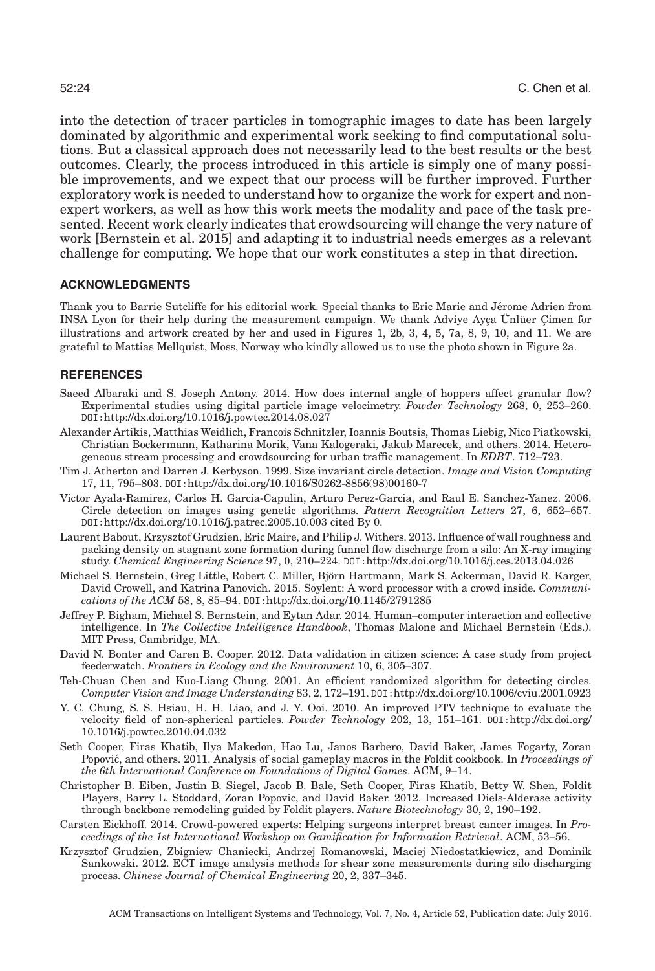into the detection of tracer particles in tomographic images to date has been largely dominated by algorithmic and experimental work seeking to find computational solutions. But a classical approach does not necessarily lead to the best results or the best outcomes. Clearly, the process introduced in this article is simply one of many possible improvements, and we expect that our process will be further improved. Further exploratory work is needed to understand how to organize the work for expert and nonexpert workers, as well as how this work meets the modality and pace of the task presented. Recent work clearly indicates that crowdsourcing will change the very nature of work [Bernstein et al. [2015\]](#page-23-13) and adapting it to industrial needs emerges as a relevant challenge for computing. We hope that our work constitutes a step in that direction.

### **ACKNOWLEDGMENTS**

Thank you to Barrie Sutcliffe for his editorial work. Special thanks to Eric Marie and Jérome Adrien from INSA Lyon for their help during the measurement campaign. We thank Adviye Ayca Unluer Cimen for illustrations and artwork created by her and used in Figures 1, 2b, 3, 4, 5, 7a, 8, 9, 10, and 11. We are grateful to Mattias Mellquist, Moss, Norway who kindly allowed us to use the photo shown in Figure 2a.

### **REFERENCES**

- <span id="page-23-5"></span>Saeed Albaraki and S. Joseph Antony. 2014. How does internal angle of hoppers affect granular flow? Experimental studies using digital particle image velocimetry. *Powder Technology* 268, 0, 253–260. DOI:<http://dx.doi.org/10.1016/j.powtec.2014.08.027>
- <span id="page-23-9"></span>Alexander Artikis, Matthias Weidlich, Francois Schnitzler, Ioannis Boutsis, Thomas Liebig, Nico Piatkowski, Christian Bockermann, Katharina Morik, Vana Kalogeraki, Jakub Marecek, and others. 2014. Heterogeneous stream processing and crowdsourcing for urban traffic management. In *EDBT*. 712–723.
- <span id="page-23-10"></span>Tim J. Atherton and Darren J. Kerbyson. 1999. Size invariant circle detection. *Image and Vision Computing* 17, 11, 795–803. DOI:[http://dx.doi.org/10.1016/S0262-8856\(98\)00160-7](http://dx.doi.org/10.1016/S0262-8856(98)00160-7)
- <span id="page-23-12"></span>Victor Ayala-Ramirez, Carlos H. Garcia-Capulin, Arturo Perez-Garcia, and Raul E. Sanchez-Yanez. 2006. Circle detection on images using genetic algorithms. *Pattern Recognition Letters* 27, 6, 652–657. DOI:<http://dx.doi.org/10.1016/j.patrec.2005.10.003> cited By 0.
- <span id="page-23-4"></span>Laurent Babout, Krzysztof Grudzien, Eric Maire, and Philip J. Withers. 2013. Influence of wall roughness and packing density on stagnant zone formation during funnel flow discharge from a silo: An X-ray imaging study. *Chemical Engineering Science* 97, 0, 210–224. DOI:<http://dx.doi.org/10.1016/j.ces.2013.04.026>
- <span id="page-23-13"></span>Michael S. Bernstein, Greg Little, Robert C. Miller, Bjorn Hartmann, Mark S. Ackerman, David R. Karger, ¨ David Crowell, and Katrina Panovich. 2015. Soylent: A word processor with a crowd inside. *Communications of the ACM* 58, 8, 85–94. DOI:<http://dx.doi.org/10.1145/2791285>
- <span id="page-23-0"></span>Jeffrey P. Bigham, Michael S. Bernstein, and Eytan Adar. 2014. Human–computer interaction and collective intelligence. In *The Collective Intelligence Handbook*, Thomas Malone and Michael Bernstein (Eds.). MIT Press, Cambridge, MA.
- <span id="page-23-7"></span>David N. Bonter and Caren B. Cooper. 2012. Data validation in citizen science: A case study from project feederwatch. *Frontiers in Ecology and the Environment* 10, 6, 305–307.
- <span id="page-23-11"></span>Teh-Chuan Chen and Kuo-Liang Chung. 2001. An efficient randomized algorithm for detecting circles. *Computer Vision and Image Understanding* 83, 2, 172–191. DOI:<http://dx.doi.org/10.1006/cviu.2001.0923>
- <span id="page-23-6"></span>Y. C. Chung, S. S. Hsiau, H. H. Liao, and J. Y. Ooi. 2010. An improved PTV technique to evaluate the velocity field of non-spherical particles. *Powder Technology* 202, 13, 151–161. DOI:[http://dx.doi.org/](http://dx.doi.org/10.1016/j.powtec.2010.04.032) [10.1016/j.powtec.2010.04.032](http://dx.doi.org/10.1016/j.powtec.2010.04.032)
- <span id="page-23-1"></span>Seth Cooper, Firas Khatib, Ilya Makedon, Hao Lu, Janos Barbero, David Baker, James Fogarty, Zoran Popović, and others. 2011. Analysis of social gameplay macros in the Foldit cookbook. In *Proceedings of the 6th International Conference on Foundations of Digital Games*. ACM, 9–14.
- <span id="page-23-2"></span>Christopher B. Eiben, Justin B. Siegel, Jacob B. Bale, Seth Cooper, Firas Khatib, Betty W. Shen, Foldit Players, Barry L. Stoddard, Zoran Popovic, and David Baker. 2012. Increased Diels-Alderase activity through backbone remodeling guided by Foldit players. *Nature Biotechnology* 30, 2, 190–192.
- <span id="page-23-8"></span>Carsten Eickhoff. 2014. Crowd-powered experts: Helping surgeons interpret breast cancer images. In *Proceedings of the 1st International Workshop on Gamification for Information Retrieval*. ACM, 53–56.
- <span id="page-23-3"></span>Krzysztof Grudzien, Zbigniew Chaniecki, Andrzej Romanowski, Maciej Niedostatkiewicz, and Dominik Sankowski. 2012. ECT image analysis methods for shear zone measurements during silo discharging process. *Chinese Journal of Chemical Engineering* 20, 2, 337–345.